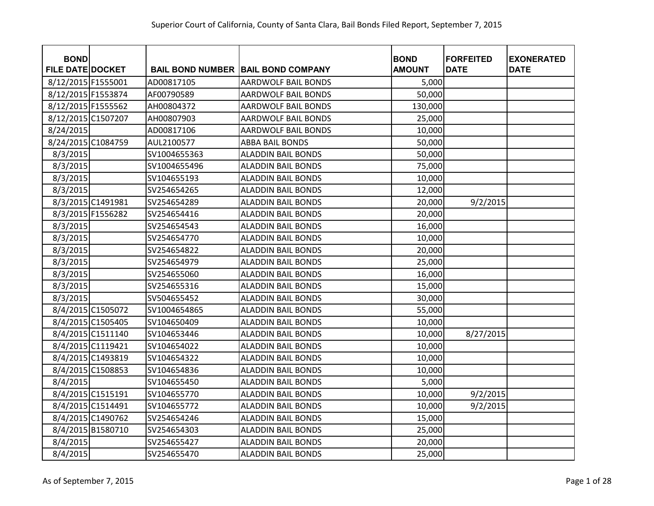| <b>BOND</b><br><b>FILE DATE DOCKET</b> |                   |              | <b>BAIL BOND NUMBER BAIL BOND COMPANY</b> | <b>BOND</b><br><b>AMOUNT</b> | <b>FORFEITED</b><br><b>DATE</b> | <b>EXONERATED</b><br><b>DATE</b> |
|----------------------------------------|-------------------|--------------|-------------------------------------------|------------------------------|---------------------------------|----------------------------------|
| 8/12/2015 F1555001                     |                   | AD00817105   |                                           |                              |                                 |                                  |
|                                        |                   |              | <b>AARDWOLF BAIL BONDS</b>                | 5,000                        |                                 |                                  |
| 8/12/2015 F1553874                     |                   | AF00790589   | <b>AARDWOLF BAIL BONDS</b>                | 50,000                       |                                 |                                  |
| 8/12/2015 F1555562                     |                   | AH00804372   | <b>AARDWOLF BAIL BONDS</b>                | 130,000                      |                                 |                                  |
| 8/12/2015 C1507207                     |                   | AH00807903   | <b>AARDWOLF BAIL BONDS</b>                | 25,000                       |                                 |                                  |
| 8/24/2015                              |                   | AD00817106   | <b>AARDWOLF BAIL BONDS</b>                | 10,000                       |                                 |                                  |
| 8/24/2015 C1084759                     |                   | AUL2100577   | <b>ABBA BAIL BONDS</b>                    | 50,000                       |                                 |                                  |
| 8/3/2015                               |                   | SV1004655363 | <b>ALADDIN BAIL BONDS</b>                 | 50,000                       |                                 |                                  |
| 8/3/2015                               |                   | SV1004655496 | <b>ALADDIN BAIL BONDS</b>                 | 75,000                       |                                 |                                  |
| 8/3/2015                               |                   | SV104655193  | <b>ALADDIN BAIL BONDS</b>                 | 10,000                       |                                 |                                  |
| 8/3/2015                               |                   | SV254654265  | <b>ALADDIN BAIL BONDS</b>                 | 12,000                       |                                 |                                  |
|                                        | 8/3/2015 C1491981 | SV254654289  | <b>ALADDIN BAIL BONDS</b>                 | 20,000                       | 9/2/2015                        |                                  |
|                                        | 8/3/2015 F1556282 | SV254654416  | <b>ALADDIN BAIL BONDS</b>                 | 20,000                       |                                 |                                  |
| 8/3/2015                               |                   | SV254654543  | <b>ALADDIN BAIL BONDS</b>                 | 16,000                       |                                 |                                  |
| 8/3/2015                               |                   | SV254654770  | <b>ALADDIN BAIL BONDS</b>                 | 10,000                       |                                 |                                  |
| 8/3/2015                               |                   | SV254654822  | <b>ALADDIN BAIL BONDS</b>                 | 20,000                       |                                 |                                  |
| 8/3/2015                               |                   | SV254654979  | <b>ALADDIN BAIL BONDS</b>                 | 25,000                       |                                 |                                  |
| 8/3/2015                               |                   | SV254655060  | <b>ALADDIN BAIL BONDS</b>                 | 16,000                       |                                 |                                  |
| 8/3/2015                               |                   | SV254655316  | <b>ALADDIN BAIL BONDS</b>                 | 15,000                       |                                 |                                  |
| 8/3/2015                               |                   | SV504655452  | <b>ALADDIN BAIL BONDS</b>                 | 30,000                       |                                 |                                  |
|                                        | 8/4/2015 C1505072 | SV1004654865 | <b>ALADDIN BAIL BONDS</b>                 | 55,000                       |                                 |                                  |
|                                        | 8/4/2015 C1505405 | SV104650409  | <b>ALADDIN BAIL BONDS</b>                 | 10,000                       |                                 |                                  |
|                                        | 8/4/2015 C1511140 | SV104653446  | <b>ALADDIN BAIL BONDS</b>                 | 10,000                       | 8/27/2015                       |                                  |
|                                        | 8/4/2015 C1119421 | SV104654022  | <b>ALADDIN BAIL BONDS</b>                 | 10,000                       |                                 |                                  |
|                                        | 8/4/2015 C1493819 | SV104654322  | <b>ALADDIN BAIL BONDS</b>                 | 10,000                       |                                 |                                  |
|                                        | 8/4/2015 C1508853 | SV104654836  | <b>ALADDIN BAIL BONDS</b>                 | 10,000                       |                                 |                                  |
| 8/4/2015                               |                   | SV104655450  | <b>ALADDIN BAIL BONDS</b>                 | 5,000                        |                                 |                                  |
|                                        | 8/4/2015 C1515191 | SV104655770  | <b>ALADDIN BAIL BONDS</b>                 | 10,000                       | 9/2/2015                        |                                  |
|                                        | 8/4/2015 C1514491 | SV104655772  | <b>ALADDIN BAIL BONDS</b>                 | 10,000                       | 9/2/2015                        |                                  |
|                                        | 8/4/2015 C1490762 | SV254654246  | <b>ALADDIN BAIL BONDS</b>                 | 15,000                       |                                 |                                  |
|                                        | 8/4/2015 B1580710 | SV254654303  | <b>ALADDIN BAIL BONDS</b>                 | 25,000                       |                                 |                                  |
| 8/4/2015                               |                   | SV254655427  | <b>ALADDIN BAIL BONDS</b>                 | 20,000                       |                                 |                                  |
| 8/4/2015                               |                   | SV254655470  | <b>ALADDIN BAIL BONDS</b>                 | 25,000                       |                                 |                                  |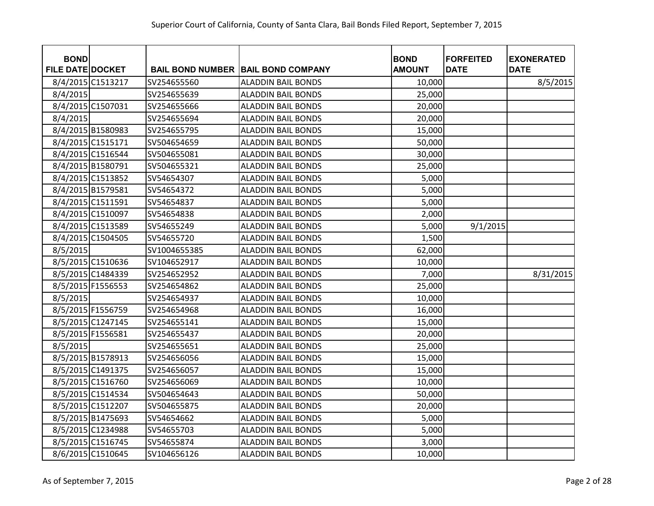| <b>BOND</b><br><b>FILE DATE DOCKET</b> |                   |              | <b>BAIL BOND NUMBER   BAIL BOND COMPANY</b> | <b>BOND</b><br><b>AMOUNT</b> | <b>FORFEITED</b><br><b>DATE</b> | <b>EXONERATED</b><br><b>DATE</b> |
|----------------------------------------|-------------------|--------------|---------------------------------------------|------------------------------|---------------------------------|----------------------------------|
|                                        | 8/4/2015 C1513217 | SV254655560  | <b>ALADDIN BAIL BONDS</b>                   | 10,000                       |                                 | 8/5/2015                         |
| 8/4/2015                               |                   | SV254655639  | <b>ALADDIN BAIL BONDS</b>                   | 25,000                       |                                 |                                  |
|                                        | 8/4/2015 C1507031 | SV254655666  | <b>ALADDIN BAIL BONDS</b>                   | 20,000                       |                                 |                                  |
| 8/4/2015                               |                   | SV254655694  | <b>ALADDIN BAIL BONDS</b>                   | 20,000                       |                                 |                                  |
|                                        | 8/4/2015 B1580983 | SV254655795  | <b>ALADDIN BAIL BONDS</b>                   | 15,000                       |                                 |                                  |
|                                        | 8/4/2015 C1515171 | SV504654659  | <b>ALADDIN BAIL BONDS</b>                   | 50,000                       |                                 |                                  |
|                                        | 8/4/2015 C1516544 | SV504655081  | <b>ALADDIN BAIL BONDS</b>                   | 30,000                       |                                 |                                  |
|                                        | 8/4/2015 B1580791 | SV504655321  | <b>ALADDIN BAIL BONDS</b>                   | 25,000                       |                                 |                                  |
|                                        | 8/4/2015 C1513852 | SV54654307   | <b>ALADDIN BAIL BONDS</b>                   | 5,000                        |                                 |                                  |
|                                        | 8/4/2015 B1579581 | SV54654372   | <b>ALADDIN BAIL BONDS</b>                   | 5,000                        |                                 |                                  |
|                                        | 8/4/2015 C1511591 | SV54654837   | <b>ALADDIN BAIL BONDS</b>                   | 5,000                        |                                 |                                  |
|                                        | 8/4/2015 C1510097 | SV54654838   | <b>ALADDIN BAIL BONDS</b>                   | 2,000                        |                                 |                                  |
|                                        | 8/4/2015 C1513589 | SV54655249   | <b>ALADDIN BAIL BONDS</b>                   | 5,000                        | 9/1/2015                        |                                  |
|                                        | 8/4/2015 C1504505 | SV54655720   | <b>ALADDIN BAIL BONDS</b>                   | 1,500                        |                                 |                                  |
| 8/5/2015                               |                   | SV1004655385 | <b>ALADDIN BAIL BONDS</b>                   | 62,000                       |                                 |                                  |
|                                        | 8/5/2015 C1510636 | SV104652917  | <b>ALADDIN BAIL BONDS</b>                   | 10,000                       |                                 |                                  |
|                                        | 8/5/2015 C1484339 | SV254652952  | <b>ALADDIN BAIL BONDS</b>                   | 7,000                        |                                 | 8/31/2015                        |
|                                        | 8/5/2015 F1556553 | SV254654862  | <b>ALADDIN BAIL BONDS</b>                   | 25,000                       |                                 |                                  |
| 8/5/2015                               |                   | SV254654937  | <b>ALADDIN BAIL BONDS</b>                   | 10,000                       |                                 |                                  |
|                                        | 8/5/2015 F1556759 | SV254654968  | <b>ALADDIN BAIL BONDS</b>                   | 16,000                       |                                 |                                  |
|                                        | 8/5/2015 C1247145 | SV254655141  | <b>ALADDIN BAIL BONDS</b>                   | 15,000                       |                                 |                                  |
|                                        | 8/5/2015 F1556581 | SV254655437  | <b>ALADDIN BAIL BONDS</b>                   | 20,000                       |                                 |                                  |
| 8/5/2015                               |                   | SV254655651  | <b>ALADDIN BAIL BONDS</b>                   | 25,000                       |                                 |                                  |
|                                        | 8/5/2015 B1578913 | SV254656056  | <b>ALADDIN BAIL BONDS</b>                   | 15,000                       |                                 |                                  |
|                                        | 8/5/2015 C1491375 | SV254656057  | <b>ALADDIN BAIL BONDS</b>                   | 15,000                       |                                 |                                  |
|                                        | 8/5/2015 C1516760 | SV254656069  | <b>ALADDIN BAIL BONDS</b>                   | 10,000                       |                                 |                                  |
|                                        | 8/5/2015 C1514534 | SV504654643  | <b>ALADDIN BAIL BONDS</b>                   | 50,000                       |                                 |                                  |
|                                        | 8/5/2015 C1512207 | SV504655875  | <b>ALADDIN BAIL BONDS</b>                   | 20,000                       |                                 |                                  |
|                                        | 8/5/2015 B1475693 | SV54654662   | <b>ALADDIN BAIL BONDS</b>                   | 5,000                        |                                 |                                  |
|                                        | 8/5/2015 C1234988 | SV54655703   | <b>ALADDIN BAIL BONDS</b>                   | 5,000                        |                                 |                                  |
|                                        | 8/5/2015 C1516745 | SV54655874   | <b>ALADDIN BAIL BONDS</b>                   | 3,000                        |                                 |                                  |
|                                        | 8/6/2015 C1510645 | SV104656126  | <b>ALADDIN BAIL BONDS</b>                   | 10,000                       |                                 |                                  |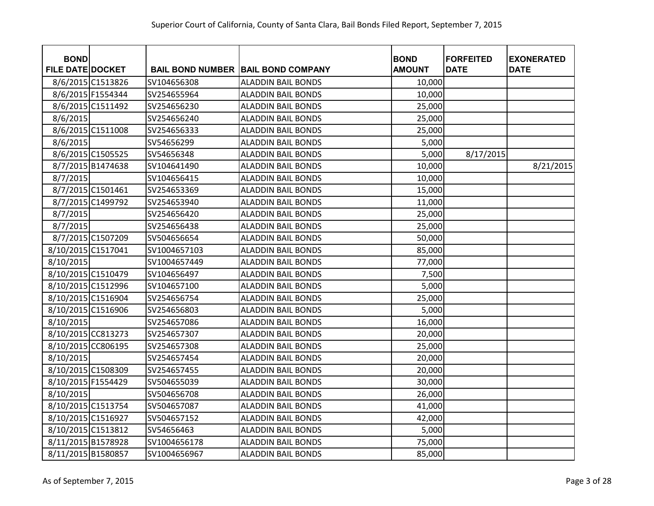| <b>BOND</b><br><b>FILE DATE DOCKET</b> |                   |              | <b>BAIL BOND NUMBER BAIL BOND COMPANY</b> | <b>BOND</b><br><b>AMOUNT</b> | <b>FORFEITED</b><br><b>DATE</b> | <b>EXONERATED</b><br><b>DATE</b> |
|----------------------------------------|-------------------|--------------|-------------------------------------------|------------------------------|---------------------------------|----------------------------------|
|                                        | 8/6/2015 C1513826 | SV104656308  | <b>ALADDIN BAIL BONDS</b>                 | 10,000                       |                                 |                                  |
|                                        | 8/6/2015 F1554344 | SV254655964  | <b>ALADDIN BAIL BONDS</b>                 | 10,000                       |                                 |                                  |
|                                        | 8/6/2015 C1511492 | SV254656230  | <b>ALADDIN BAIL BONDS</b>                 | 25,000                       |                                 |                                  |
| 8/6/2015                               |                   | SV254656240  | <b>ALADDIN BAIL BONDS</b>                 | 25,000                       |                                 |                                  |
|                                        | 8/6/2015 C1511008 | SV254656333  | <b>ALADDIN BAIL BONDS</b>                 | 25,000                       |                                 |                                  |
| 8/6/2015                               |                   | SV54656299   | <b>ALADDIN BAIL BONDS</b>                 | 5,000                        |                                 |                                  |
|                                        | 8/6/2015 C1505525 | SV54656348   | <b>ALADDIN BAIL BONDS</b>                 | 5,000                        | 8/17/2015                       |                                  |
|                                        | 8/7/2015 B1474638 | SV104641490  | <b>ALADDIN BAIL BONDS</b>                 | 10,000                       |                                 | 8/21/2015                        |
| 8/7/2015                               |                   | SV104656415  | <b>ALADDIN BAIL BONDS</b>                 | 10,000                       |                                 |                                  |
|                                        | 8/7/2015 C1501461 | SV254653369  | <b>ALADDIN BAIL BONDS</b>                 | 15,000                       |                                 |                                  |
|                                        | 8/7/2015 C1499792 | SV254653940  | <b>ALADDIN BAIL BONDS</b>                 | 11,000                       |                                 |                                  |
| 8/7/2015                               |                   | SV254656420  | <b>ALADDIN BAIL BONDS</b>                 | 25,000                       |                                 |                                  |
| 8/7/2015                               |                   | SV254656438  | <b>ALADDIN BAIL BONDS</b>                 | 25,000                       |                                 |                                  |
|                                        | 8/7/2015 C1507209 | SV504656654  | <b>ALADDIN BAIL BONDS</b>                 | 50,000                       |                                 |                                  |
| 8/10/2015 C1517041                     |                   | SV1004657103 | <b>ALADDIN BAIL BONDS</b>                 | 85,000                       |                                 |                                  |
| 8/10/2015                              |                   | SV1004657449 | <b>ALADDIN BAIL BONDS</b>                 | 77,000                       |                                 |                                  |
| 8/10/2015 C1510479                     |                   | SV104656497  | <b>ALADDIN BAIL BONDS</b>                 | 7,500                        |                                 |                                  |
| 8/10/2015 C1512996                     |                   | SV104657100  | <b>ALADDIN BAIL BONDS</b>                 | 5,000                        |                                 |                                  |
| 8/10/2015 C1516904                     |                   | SV254656754  | <b>ALADDIN BAIL BONDS</b>                 | 25,000                       |                                 |                                  |
| 8/10/2015 C1516906                     |                   | SV254656803  | <b>ALADDIN BAIL BONDS</b>                 | 5,000                        |                                 |                                  |
| 8/10/2015                              |                   | SV254657086  | <b>ALADDIN BAIL BONDS</b>                 | 16,000                       |                                 |                                  |
| 8/10/2015 CC813273                     |                   | SV254657307  | <b>ALADDIN BAIL BONDS</b>                 | 20,000                       |                                 |                                  |
| 8/10/2015 CC806195                     |                   | SV254657308  | <b>ALADDIN BAIL BONDS</b>                 | 25,000                       |                                 |                                  |
| 8/10/2015                              |                   | SV254657454  | <b>ALADDIN BAIL BONDS</b>                 | 20,000                       |                                 |                                  |
| 8/10/2015 C1508309                     |                   | SV254657455  | <b>ALADDIN BAIL BONDS</b>                 | 20,000                       |                                 |                                  |
| 8/10/2015 F1554429                     |                   | SV504655039  | <b>ALADDIN BAIL BONDS</b>                 | 30,000                       |                                 |                                  |
| 8/10/2015                              |                   | SV504656708  | <b>ALADDIN BAIL BONDS</b>                 | 26,000                       |                                 |                                  |
| 8/10/2015 C1513754                     |                   | SV504657087  | <b>ALADDIN BAIL BONDS</b>                 | 41,000                       |                                 |                                  |
| 8/10/2015 C1516927                     |                   | SV504657152  | <b>ALADDIN BAIL BONDS</b>                 | 42,000                       |                                 |                                  |
| 8/10/2015 C1513812                     |                   | SV54656463   | <b>ALADDIN BAIL BONDS</b>                 | 5,000                        |                                 |                                  |
| 8/11/2015 B1578928                     |                   | SV1004656178 | <b>ALADDIN BAIL BONDS</b>                 | 75,000                       |                                 |                                  |
| 8/11/2015 B1580857                     |                   | SV1004656967 | <b>ALADDIN BAIL BONDS</b>                 | 85,000                       |                                 |                                  |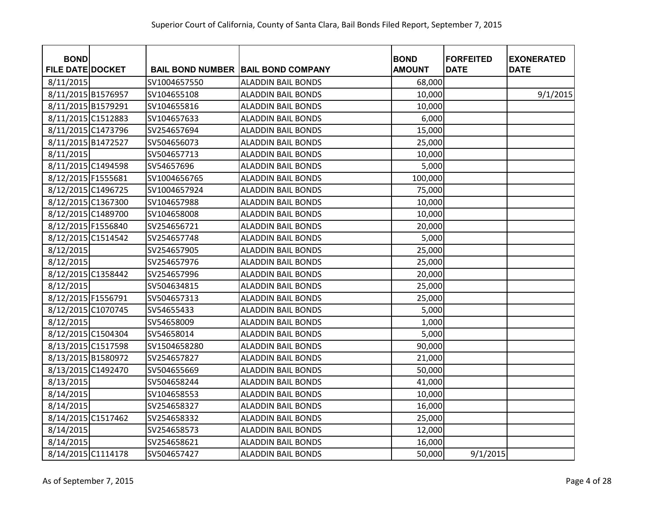| <b>BOND</b>             |              |                                           | <b>BOND</b>   | <b>FORFEITED</b> | <b>EXONERATED</b> |
|-------------------------|--------------|-------------------------------------------|---------------|------------------|-------------------|
| <b>FILE DATE DOCKET</b> |              | <b>BAIL BOND NUMBER BAIL BOND COMPANY</b> | <b>AMOUNT</b> | <b>DATE</b>      | <b>DATE</b>       |
| 8/11/2015               | SV1004657550 | <b>ALADDIN BAIL BONDS</b>                 | 68,000        |                  |                   |
| 8/11/2015 B1576957      | SV104655108  | <b>ALADDIN BAIL BONDS</b>                 | 10,000        |                  | 9/1/2015          |
| 8/11/2015 B1579291      | SV104655816  | <b>ALADDIN BAIL BONDS</b>                 | 10,000        |                  |                   |
| 8/11/2015 C1512883      | SV104657633  | <b>ALADDIN BAIL BONDS</b>                 | 6,000         |                  |                   |
| 8/11/2015 C1473796      | SV254657694  | <b>ALADDIN BAIL BONDS</b>                 | 15,000        |                  |                   |
| 8/11/2015 B1472527      | SV504656073  | <b>ALADDIN BAIL BONDS</b>                 | 25,000        |                  |                   |
| 8/11/2015               | SV504657713  | <b>ALADDIN BAIL BONDS</b>                 | 10,000        |                  |                   |
| 8/11/2015 C1494598      | SV54657696   | <b>ALADDIN BAIL BONDS</b>                 | 5,000         |                  |                   |
| 8/12/2015 F1555681      | SV1004656765 | <b>ALADDIN BAIL BONDS</b>                 | 100,000       |                  |                   |
| 8/12/2015 C1496725      | SV1004657924 | <b>ALADDIN BAIL BONDS</b>                 | 75,000        |                  |                   |
| 8/12/2015 C1367300      | SV104657988  | <b>ALADDIN BAIL BONDS</b>                 | 10,000        |                  |                   |
| 8/12/2015 C1489700      | SV104658008  | <b>ALADDIN BAIL BONDS</b>                 | 10,000        |                  |                   |
| 8/12/2015 F1556840      | SV254656721  | <b>ALADDIN BAIL BONDS</b>                 | 20,000        |                  |                   |
| 8/12/2015 C1514542      | SV254657748  | <b>ALADDIN BAIL BONDS</b>                 | 5,000         |                  |                   |
| 8/12/2015               | SV254657905  | <b>ALADDIN BAIL BONDS</b>                 | 25,000        |                  |                   |
| 8/12/2015               | SV254657976  | <b>ALADDIN BAIL BONDS</b>                 | 25,000        |                  |                   |
| 8/12/2015 C1358442      | SV254657996  | <b>ALADDIN BAIL BONDS</b>                 | 20,000        |                  |                   |
| 8/12/2015               | SV504634815  | <b>ALADDIN BAIL BONDS</b>                 | 25,000        |                  |                   |
| 8/12/2015 F1556791      | SV504657313  | <b>ALADDIN BAIL BONDS</b>                 | 25,000        |                  |                   |
| 8/12/2015 C1070745      | SV54655433   | <b>ALADDIN BAIL BONDS</b>                 | 5,000         |                  |                   |
| 8/12/2015               | SV54658009   | <b>ALADDIN BAIL BONDS</b>                 | 1,000         |                  |                   |
| 8/12/2015 C1504304      | SV54658014   | <b>ALADDIN BAIL BONDS</b>                 | 5,000         |                  |                   |
| 8/13/2015 C1517598      | SV1504658280 | <b>ALADDIN BAIL BONDS</b>                 | 90,000        |                  |                   |
| 8/13/2015 B1580972      | SV254657827  | <b>ALADDIN BAIL BONDS</b>                 | 21,000        |                  |                   |
| 8/13/2015 C1492470      | SV504655669  | <b>ALADDIN BAIL BONDS</b>                 | 50,000        |                  |                   |
| 8/13/2015               | SV504658244  | <b>ALADDIN BAIL BONDS</b>                 | 41,000        |                  |                   |
| 8/14/2015               | SV104658553  | <b>ALADDIN BAIL BONDS</b>                 | 10,000        |                  |                   |
| 8/14/2015               | SV254658327  | <b>ALADDIN BAIL BONDS</b>                 | 16,000        |                  |                   |
| 8/14/2015 C1517462      | SV254658332  | <b>ALADDIN BAIL BONDS</b>                 | 25,000        |                  |                   |
| 8/14/2015               | SV254658573  | <b>ALADDIN BAIL BONDS</b>                 | 12,000        |                  |                   |
| 8/14/2015               | SV254658621  | <b>ALADDIN BAIL BONDS</b>                 | 16,000        |                  |                   |
| 8/14/2015 C1114178      | SV504657427  | <b>ALADDIN BAIL BONDS</b>                 | 50,000        | 9/1/2015         |                   |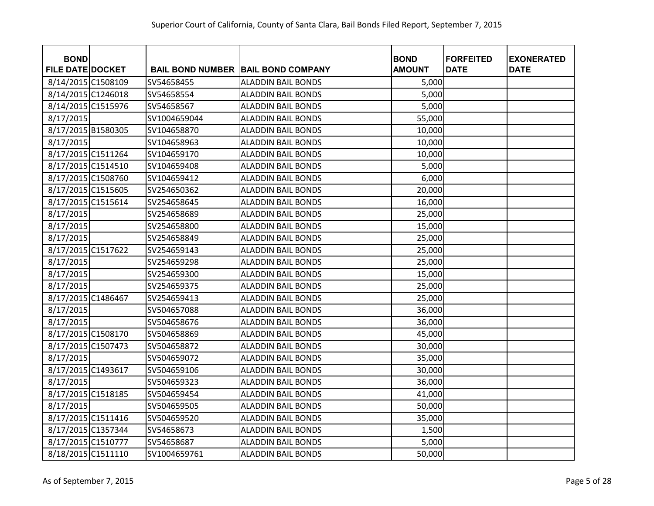| <b>BOND</b>             |              |                                           | <b>BOND</b>   | <b>FORFEITED</b> | <b>EXONERATED</b> |
|-------------------------|--------------|-------------------------------------------|---------------|------------------|-------------------|
| <b>FILE DATE DOCKET</b> |              | <b>BAIL BOND NUMBER BAIL BOND COMPANY</b> | <b>AMOUNT</b> | <b>DATE</b>      | <b>DATE</b>       |
| 8/14/2015 C1508109      | SV54658455   | <b>ALADDIN BAIL BONDS</b>                 | 5,000         |                  |                   |
| 8/14/2015 C1246018      | SV54658554   | <b>ALADDIN BAIL BONDS</b>                 | 5,000         |                  |                   |
| 8/14/2015 C1515976      | SV54658567   | <b>ALADDIN BAIL BONDS</b>                 | 5,000         |                  |                   |
| 8/17/2015               | SV1004659044 | <b>ALADDIN BAIL BONDS</b>                 | 55,000        |                  |                   |
| 8/17/2015 B1580305      | SV104658870  | <b>ALADDIN BAIL BONDS</b>                 | 10,000        |                  |                   |
| 8/17/2015               | SV104658963  | <b>ALADDIN BAIL BONDS</b>                 | 10,000        |                  |                   |
| 8/17/2015 C1511264      | SV104659170  | <b>ALADDIN BAIL BONDS</b>                 | 10,000        |                  |                   |
| 8/17/2015 C1514510      | SV104659408  | <b>ALADDIN BAIL BONDS</b>                 | 5,000         |                  |                   |
| 8/17/2015 C1508760      | SV104659412  | <b>ALADDIN BAIL BONDS</b>                 | 6,000         |                  |                   |
| 8/17/2015 C1515605      | SV254650362  | <b>ALADDIN BAIL BONDS</b>                 | 20,000        |                  |                   |
| 8/17/2015 C1515614      | SV254658645  | <b>ALADDIN BAIL BONDS</b>                 | 16,000        |                  |                   |
| 8/17/2015               | SV254658689  | <b>ALADDIN BAIL BONDS</b>                 | 25,000        |                  |                   |
| 8/17/2015               | SV254658800  | <b>ALADDIN BAIL BONDS</b>                 | 15,000        |                  |                   |
| 8/17/2015               | SV254658849  | <b>ALADDIN BAIL BONDS</b>                 | 25,000        |                  |                   |
| 8/17/2015 C1517622      | SV254659143  | <b>ALADDIN BAIL BONDS</b>                 | 25,000        |                  |                   |
| 8/17/2015               | SV254659298  | <b>ALADDIN BAIL BONDS</b>                 | 25,000        |                  |                   |
| 8/17/2015               | SV254659300  | <b>ALADDIN BAIL BONDS</b>                 | 15,000        |                  |                   |
| 8/17/2015               | SV254659375  | <b>ALADDIN BAIL BONDS</b>                 | 25,000        |                  |                   |
| 8/17/2015 C1486467      | SV254659413  | <b>ALADDIN BAIL BONDS</b>                 | 25,000        |                  |                   |
| 8/17/2015               | SV504657088  | <b>ALADDIN BAIL BONDS</b>                 | 36,000        |                  |                   |
| 8/17/2015               | SV504658676  | <b>ALADDIN BAIL BONDS</b>                 | 36,000        |                  |                   |
| 8/17/2015 C1508170      | SV504658869  | <b>ALADDIN BAIL BONDS</b>                 | 45,000        |                  |                   |
| 8/17/2015 C1507473      | SV504658872  | <b>ALADDIN BAIL BONDS</b>                 | 30,000        |                  |                   |
| 8/17/2015               | SV504659072  | <b>ALADDIN BAIL BONDS</b>                 | 35,000        |                  |                   |
| 8/17/2015 C1493617      | SV504659106  | <b>ALADDIN BAIL BONDS</b>                 | 30,000        |                  |                   |
| 8/17/2015               | SV504659323  | <b>ALADDIN BAIL BONDS</b>                 | 36,000        |                  |                   |
| 8/17/2015 C1518185      | SV504659454  | <b>ALADDIN BAIL BONDS</b>                 | 41,000        |                  |                   |
| 8/17/2015               | SV504659505  | <b>ALADDIN BAIL BONDS</b>                 | 50,000        |                  |                   |
| 8/17/2015 C1511416      | SV504659520  | <b>ALADDIN BAIL BONDS</b>                 | 35,000        |                  |                   |
| 8/17/2015 C1357344      | SV54658673   | <b>ALADDIN BAIL BONDS</b>                 | 1,500         |                  |                   |
| 8/17/2015 C1510777      | SV54658687   | <b>ALADDIN BAIL BONDS</b>                 | 5,000         |                  |                   |
| 8/18/2015 C1511110      | SV1004659761 | <b>ALADDIN BAIL BONDS</b>                 | 50,000        |                  |                   |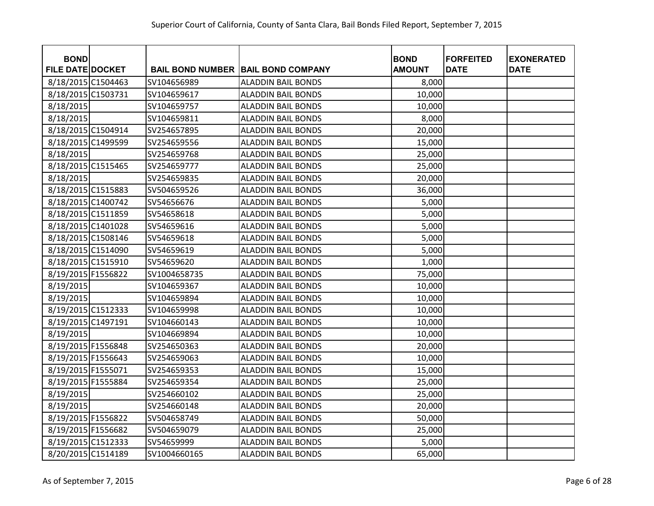| <b>BOND</b>             |              |                                           | <b>BOND</b>   | <b>FORFEITED</b> | <b>EXONERATED</b> |
|-------------------------|--------------|-------------------------------------------|---------------|------------------|-------------------|
| <b>FILE DATE DOCKET</b> |              | <b>BAIL BOND NUMBER BAIL BOND COMPANY</b> | <b>AMOUNT</b> | <b>DATE</b>      | <b>DATE</b>       |
| 8/18/2015 C1504463      | SV104656989  | <b>ALADDIN BAIL BONDS</b>                 | 8,000         |                  |                   |
| 8/18/2015 C1503731      | SV104659617  | <b>ALADDIN BAIL BONDS</b>                 | 10,000        |                  |                   |
| 8/18/2015               | SV104659757  | <b>ALADDIN BAIL BONDS</b>                 | 10,000        |                  |                   |
| 8/18/2015               | SV104659811  | <b>ALADDIN BAIL BONDS</b>                 | 8,000         |                  |                   |
| 8/18/2015 C1504914      | SV254657895  | <b>ALADDIN BAIL BONDS</b>                 | 20,000        |                  |                   |
| 8/18/2015 C1499599      | SV254659556  | <b>ALADDIN BAIL BONDS</b>                 | 15,000        |                  |                   |
| 8/18/2015               | SV254659768  | <b>ALADDIN BAIL BONDS</b>                 | 25,000        |                  |                   |
| 8/18/2015 C1515465      | SV254659777  | ALADDIN BAIL BONDS                        | 25,000        |                  |                   |
| 8/18/2015               | SV254659835  | <b>ALADDIN BAIL BONDS</b>                 | 20,000        |                  |                   |
| 8/18/2015 C1515883      | SV504659526  | <b>ALADDIN BAIL BONDS</b>                 | 36,000        |                  |                   |
| 8/18/2015 C1400742      | SV54656676   | <b>ALADDIN BAIL BONDS</b>                 | 5,000         |                  |                   |
| 8/18/2015 C1511859      | SV54658618   | <b>ALADDIN BAIL BONDS</b>                 | 5,000         |                  |                   |
| 8/18/2015 C1401028      | SV54659616   | <b>ALADDIN BAIL BONDS</b>                 | 5,000         |                  |                   |
| 8/18/2015 C1508146      | SV54659618   | <b>ALADDIN BAIL BONDS</b>                 | 5,000         |                  |                   |
| 8/18/2015 C1514090      | SV54659619   | <b>ALADDIN BAIL BONDS</b>                 | 5,000         |                  |                   |
| 8/18/2015 C1515910      | SV54659620   | <b>ALADDIN BAIL BONDS</b>                 | 1,000         |                  |                   |
| 8/19/2015 F1556822      | SV1004658735 | <b>ALADDIN BAIL BONDS</b>                 | 75,000        |                  |                   |
| 8/19/2015               | SV104659367  | <b>ALADDIN BAIL BONDS</b>                 | 10,000        |                  |                   |
| 8/19/2015               | SV104659894  | <b>ALADDIN BAIL BONDS</b>                 | 10,000        |                  |                   |
| 8/19/2015 C1512333      | SV104659998  | <b>ALADDIN BAIL BONDS</b>                 | 10,000        |                  |                   |
| 8/19/2015 C1497191      | SV104660143  | <b>ALADDIN BAIL BONDS</b>                 | 10,000        |                  |                   |
| 8/19/2015               | SV104669894  | <b>ALADDIN BAIL BONDS</b>                 | 10,000        |                  |                   |
| 8/19/2015 F1556848      | SV254650363  | <b>ALADDIN BAIL BONDS</b>                 | 20,000        |                  |                   |
| 8/19/2015 F1556643      | SV254659063  | <b>ALADDIN BAIL BONDS</b>                 | 10,000        |                  |                   |
| 8/19/2015 F1555071      | SV254659353  | <b>ALADDIN BAIL BONDS</b>                 | 15,000        |                  |                   |
| 8/19/2015 F1555884      | SV254659354  | <b>ALADDIN BAIL BONDS</b>                 | 25,000        |                  |                   |
| 8/19/2015               | SV254660102  | <b>ALADDIN BAIL BONDS</b>                 | 25,000        |                  |                   |
| 8/19/2015               | SV254660148  | <b>ALADDIN BAIL BONDS</b>                 | 20,000        |                  |                   |
| 8/19/2015 F1556822      | SV504658749  | <b>ALADDIN BAIL BONDS</b>                 | 50,000        |                  |                   |
| 8/19/2015 F1556682      | SV504659079  | <b>ALADDIN BAIL BONDS</b>                 | 25,000        |                  |                   |
| 8/19/2015 C1512333      | SV54659999   | <b>ALADDIN BAIL BONDS</b>                 | 5,000         |                  |                   |
| 8/20/2015 C1514189      | SV1004660165 | <b>ALADDIN BAIL BONDS</b>                 | 65,000        |                  |                   |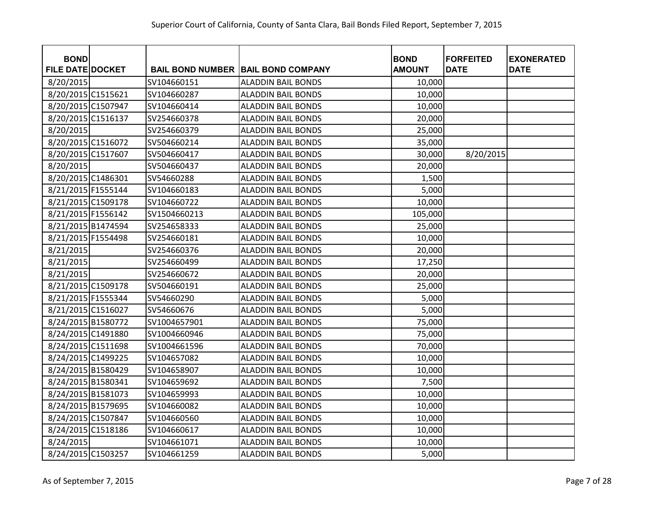| <b>BOND</b>             |              |                                           | <b>BOND</b>   | <b>FORFEITED</b> | <b>EXONERATED</b> |
|-------------------------|--------------|-------------------------------------------|---------------|------------------|-------------------|
| <b>FILE DATE DOCKET</b> |              | <b>BAIL BOND NUMBER BAIL BOND COMPANY</b> | <b>AMOUNT</b> | <b>DATE</b>      | <b>DATE</b>       |
| 8/20/2015               | SV104660151  | <b>ALADDIN BAIL BONDS</b>                 | 10,000        |                  |                   |
| 8/20/2015 C1515621      | SV104660287  | <b>ALADDIN BAIL BONDS</b>                 | 10,000        |                  |                   |
| 8/20/2015 C1507947      | SV104660414  | <b>ALADDIN BAIL BONDS</b>                 | 10,000        |                  |                   |
| 8/20/2015 C1516137      | SV254660378  | <b>ALADDIN BAIL BONDS</b>                 | 20,000        |                  |                   |
| 8/20/2015               | SV254660379  | <b>ALADDIN BAIL BONDS</b>                 | 25,000        |                  |                   |
| 8/20/2015 C1516072      | SV504660214  | <b>ALADDIN BAIL BONDS</b>                 | 35,000        |                  |                   |
| 8/20/2015 C1517607      | SV504660417  | <b>ALADDIN BAIL BONDS</b>                 | 30,000        | 8/20/2015        |                   |
| 8/20/2015               | SV504660437  | <b>ALADDIN BAIL BONDS</b>                 | 20,000        |                  |                   |
| 8/20/2015 C1486301      | SV54660288   | <b>ALADDIN BAIL BONDS</b>                 | 1,500         |                  |                   |
| 8/21/2015 F1555144      | SV104660183  | <b>ALADDIN BAIL BONDS</b>                 | 5,000         |                  |                   |
| 8/21/2015 C1509178      | SV104660722  | <b>ALADDIN BAIL BONDS</b>                 | 10,000        |                  |                   |
| 8/21/2015 F1556142      | SV1504660213 | <b>ALADDIN BAIL BONDS</b>                 | 105,000       |                  |                   |
| 8/21/2015 B1474594      | SV254658333  | <b>ALADDIN BAIL BONDS</b>                 | 25,000        |                  |                   |
| 8/21/2015 F1554498      | SV254660181  | <b>ALADDIN BAIL BONDS</b>                 | 10,000        |                  |                   |
| 8/21/2015               | SV254660376  | <b>ALADDIN BAIL BONDS</b>                 | 20,000        |                  |                   |
| 8/21/2015               | SV254660499  | <b>ALADDIN BAIL BONDS</b>                 | 17,250        |                  |                   |
| 8/21/2015               | SV254660672  | <b>ALADDIN BAIL BONDS</b>                 | 20,000        |                  |                   |
| 8/21/2015 C1509178      | SV504660191  | <b>ALADDIN BAIL BONDS</b>                 | 25,000        |                  |                   |
| 8/21/2015 F1555344      | SV54660290   | <b>ALADDIN BAIL BONDS</b>                 | 5,000         |                  |                   |
| 8/21/2015 C1516027      | SV54660676   | <b>ALADDIN BAIL BONDS</b>                 | 5,000         |                  |                   |
| 8/24/2015 B1580772      | SV1004657901 | <b>ALADDIN BAIL BONDS</b>                 | 75,000        |                  |                   |
| 8/24/2015 C1491880      | SV1004660946 | <b>ALADDIN BAIL BONDS</b>                 | 75,000        |                  |                   |
| 8/24/2015 C1511698      | SV1004661596 | <b>ALADDIN BAIL BONDS</b>                 | 70,000        |                  |                   |
| 8/24/2015 C1499225      | SV104657082  | <b>ALADDIN BAIL BONDS</b>                 | 10,000        |                  |                   |
| 8/24/2015 B1580429      | SV104658907  | <b>ALADDIN BAIL BONDS</b>                 | 10,000        |                  |                   |
| 8/24/2015 B1580341      | SV104659692  | <b>ALADDIN BAIL BONDS</b>                 | 7,500         |                  |                   |
| 8/24/2015 B1581073      | SV104659993  | <b>ALADDIN BAIL BONDS</b>                 | 10,000        |                  |                   |
| 8/24/2015 B1579695      | SV104660082  | <b>ALADDIN BAIL BONDS</b>                 | 10,000        |                  |                   |
| 8/24/2015 C1507847      | SV104660560  | <b>ALADDIN BAIL BONDS</b>                 | 10,000        |                  |                   |
| 8/24/2015 C1518186      | SV104660617  | <b>ALADDIN BAIL BONDS</b>                 | 10,000        |                  |                   |
| 8/24/2015               | SV104661071  | <b>ALADDIN BAIL BONDS</b>                 | 10,000        |                  |                   |
| 8/24/2015 C1503257      | SV104661259  | <b>ALADDIN BAIL BONDS</b>                 | 5,000         |                  |                   |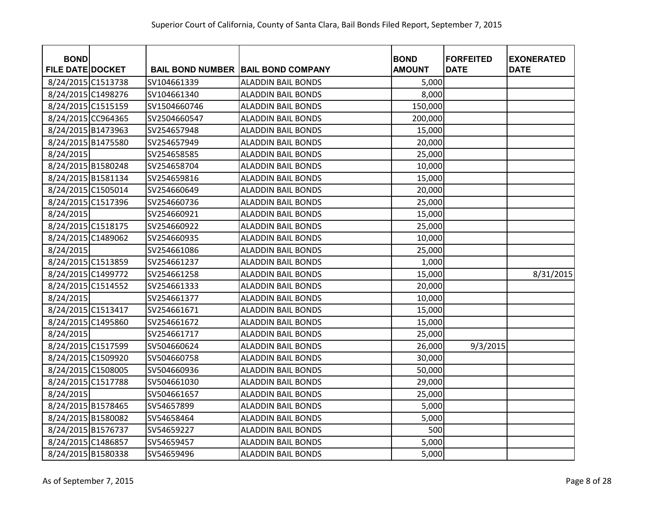| <b>BOND</b><br><b>FILE DATE DOCKET</b> |              | <b>BAIL BOND NUMBER   BAIL BOND COMPANY</b> | <b>BOND</b><br><b>AMOUNT</b> | <b>FORFEITED</b><br><b>DATE</b> | <b>EXONERATED</b><br><b>DATE</b> |
|----------------------------------------|--------------|---------------------------------------------|------------------------------|---------------------------------|----------------------------------|
| 8/24/2015 C1513738                     | SV104661339  | <b>ALADDIN BAIL BONDS</b>                   | 5,000                        |                                 |                                  |
| 8/24/2015 C1498276                     | SV104661340  | <b>ALADDIN BAIL BONDS</b>                   | 8,000                        |                                 |                                  |
| 8/24/2015 C1515159                     | SV1504660746 | <b>ALADDIN BAIL BONDS</b>                   | 150,000                      |                                 |                                  |
| 8/24/2015 CC964365                     | SV2504660547 | <b>ALADDIN BAIL BONDS</b>                   | 200,000                      |                                 |                                  |
| 8/24/2015 B1473963                     | SV254657948  | <b>ALADDIN BAIL BONDS</b>                   | 15,000                       |                                 |                                  |
| 8/24/2015 B1475580                     | SV254657949  | <b>ALADDIN BAIL BONDS</b>                   | 20,000                       |                                 |                                  |
| 8/24/2015                              | SV254658585  | <b>ALADDIN BAIL BONDS</b>                   | 25,000                       |                                 |                                  |
| 8/24/2015 B1580248                     | SV254658704  | <b>ALADDIN BAIL BONDS</b>                   | 10,000                       |                                 |                                  |
| 8/24/2015 B1581134                     | SV254659816  | <b>ALADDIN BAIL BONDS</b>                   | 15,000                       |                                 |                                  |
| 8/24/2015 C1505014                     | SV254660649  | <b>ALADDIN BAIL BONDS</b>                   | 20,000                       |                                 |                                  |
| 8/24/2015 C1517396                     | SV254660736  | <b>ALADDIN BAIL BONDS</b>                   | 25,000                       |                                 |                                  |
| 8/24/2015                              | SV254660921  | <b>ALADDIN BAIL BONDS</b>                   | 15,000                       |                                 |                                  |
| 8/24/2015 C1518175                     | SV254660922  | <b>ALADDIN BAIL BONDS</b>                   | 25,000                       |                                 |                                  |
| 8/24/2015 C1489062                     | SV254660935  | <b>ALADDIN BAIL BONDS</b>                   | 10,000                       |                                 |                                  |
| 8/24/2015                              | SV254661086  | <b>ALADDIN BAIL BONDS</b>                   | 25,000                       |                                 |                                  |
| 8/24/2015 C1513859                     | SV254661237  | <b>ALADDIN BAIL BONDS</b>                   | 1,000                        |                                 |                                  |
| 8/24/2015 C1499772                     | SV254661258  | <b>ALADDIN BAIL BONDS</b>                   | 15,000                       |                                 | 8/31/2015                        |
| 8/24/2015 C1514552                     | SV254661333  | <b>ALADDIN BAIL BONDS</b>                   | 20,000                       |                                 |                                  |
| 8/24/2015                              | SV254661377  | <b>ALADDIN BAIL BONDS</b>                   | 10,000                       |                                 |                                  |
| 8/24/2015 C1513417                     | SV254661671  | <b>ALADDIN BAIL BONDS</b>                   | 15,000                       |                                 |                                  |
| 8/24/2015 C1495860                     | SV254661672  | <b>ALADDIN BAIL BONDS</b>                   | 15,000                       |                                 |                                  |
| 8/24/2015                              | SV254661717  | <b>ALADDIN BAIL BONDS</b>                   | 25,000                       |                                 |                                  |
| 8/24/2015 C1517599                     | SV504660624  | <b>ALADDIN BAIL BONDS</b>                   | 26,000                       | 9/3/2015                        |                                  |
| 8/24/2015 C1509920                     | SV504660758  | <b>ALADDIN BAIL BONDS</b>                   | 30,000                       |                                 |                                  |
| 8/24/2015 C1508005                     | SV504660936  | <b>ALADDIN BAIL BONDS</b>                   | 50,000                       |                                 |                                  |
| 8/24/2015 C1517788                     | SV504661030  | <b>ALADDIN BAIL BONDS</b>                   | 29,000                       |                                 |                                  |
| 8/24/2015                              | SV504661657  | <b>ALADDIN BAIL BONDS</b>                   | 25,000                       |                                 |                                  |
| 8/24/2015 B1578465                     | SV54657899   | <b>ALADDIN BAIL BONDS</b>                   | 5,000                        |                                 |                                  |
| 8/24/2015 B1580082                     | SV54658464   | <b>ALADDIN BAIL BONDS</b>                   | 5,000                        |                                 |                                  |
| 8/24/2015 B1576737                     | SV54659227   | <b>ALADDIN BAIL BONDS</b>                   | 500                          |                                 |                                  |
| 8/24/2015 C1486857                     | SV54659457   | <b>ALADDIN BAIL BONDS</b>                   | 5,000                        |                                 |                                  |
| 8/24/2015 B1580338                     | SV54659496   | <b>ALADDIN BAIL BONDS</b>                   | 5,000                        |                                 |                                  |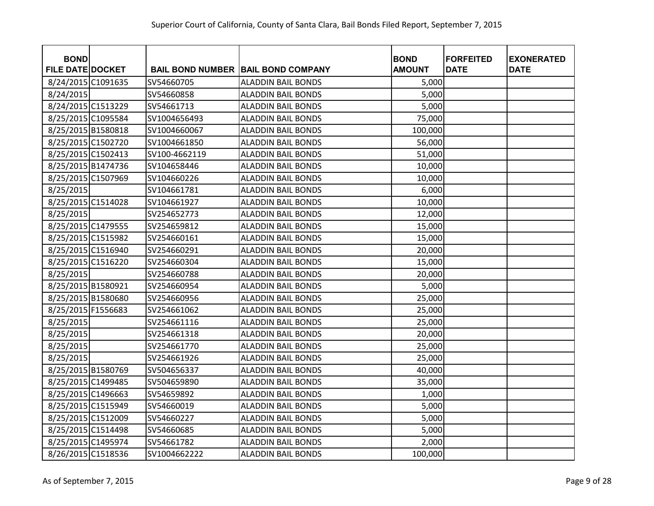| <b>BOND</b><br><b>FILE DATE DOCKET</b> |                          | <b>BAIL BOND NUMBER BAIL BOND COMPANY</b>              | <b>BOND</b><br><b>AMOUNT</b> | <b>FORFEITED</b><br><b>DATE</b> | <b>EXONERATED</b><br><b>DATE</b> |
|----------------------------------------|--------------------------|--------------------------------------------------------|------------------------------|---------------------------------|----------------------------------|
| 8/24/2015 C1091635                     | SV54660705               |                                                        |                              |                                 |                                  |
|                                        |                          | <b>ALADDIN BAIL BONDS</b>                              | 5,000                        |                                 |                                  |
| 8/24/2015                              | SV54660858<br>SV54661713 | <b>ALADDIN BAIL BONDS</b>                              | 5,000                        |                                 |                                  |
| 8/24/2015 C1513229                     | SV1004656493             | <b>ALADDIN BAIL BONDS</b><br><b>ALADDIN BAIL BONDS</b> | 5,000                        |                                 |                                  |
| 8/25/2015 C1095584                     |                          |                                                        | 75,000                       |                                 |                                  |
| 8/25/2015 B1580818                     | SV1004660067             | <b>ALADDIN BAIL BONDS</b>                              | 100,000                      |                                 |                                  |
| 8/25/2015 C1502720                     | SV1004661850             | <b>ALADDIN BAIL BONDS</b>                              | 56,000                       |                                 |                                  |
| 8/25/2015 C1502413                     | SV100-4662119            | <b>ALADDIN BAIL BONDS</b>                              | 51,000                       |                                 |                                  |
| 8/25/2015 B1474736                     | SV104658446              | <b>ALADDIN BAIL BONDS</b>                              | 10,000                       |                                 |                                  |
| 8/25/2015 C1507969                     | SV104660226              | <b>ALADDIN BAIL BONDS</b>                              | 10,000                       |                                 |                                  |
| 8/25/2015                              | SV104661781              | <b>ALADDIN BAIL BONDS</b>                              | 6,000                        |                                 |                                  |
| 8/25/2015 C1514028                     | SV104661927              | <b>ALADDIN BAIL BONDS</b>                              | 10,000                       |                                 |                                  |
| 8/25/2015                              | SV254652773              | <b>ALADDIN BAIL BONDS</b>                              | 12,000                       |                                 |                                  |
| 8/25/2015 C1479555                     | SV254659812              | <b>ALADDIN BAIL BONDS</b>                              | 15,000                       |                                 |                                  |
| 8/25/2015 C1515982                     | SV254660161              | <b>ALADDIN BAIL BONDS</b>                              | 15,000                       |                                 |                                  |
| 8/25/2015 C1516940                     | SV254660291              | <b>ALADDIN BAIL BONDS</b>                              | 20,000                       |                                 |                                  |
| 8/25/2015 C1516220                     | SV254660304              | <b>ALADDIN BAIL BONDS</b>                              | 15,000                       |                                 |                                  |
| 8/25/2015                              | SV254660788              | <b>ALADDIN BAIL BONDS</b>                              | 20,000                       |                                 |                                  |
| 8/25/2015 B1580921                     | SV254660954              | <b>ALADDIN BAIL BONDS</b>                              | 5,000                        |                                 |                                  |
| 8/25/2015 B1580680                     | SV254660956              | <b>ALADDIN BAIL BONDS</b>                              | 25,000                       |                                 |                                  |
| 8/25/2015 F1556683                     | SV254661062              | <b>ALADDIN BAIL BONDS</b>                              | 25,000                       |                                 |                                  |
| 8/25/2015                              | SV254661116              | <b>ALADDIN BAIL BONDS</b>                              | 25,000                       |                                 |                                  |
| 8/25/2015                              | SV254661318              | <b>ALADDIN BAIL BONDS</b>                              | 20,000                       |                                 |                                  |
| 8/25/2015                              | SV254661770              | <b>ALADDIN BAIL BONDS</b>                              | 25,000                       |                                 |                                  |
| 8/25/2015                              | SV254661926              | <b>ALADDIN BAIL BONDS</b>                              | 25,000                       |                                 |                                  |
| 8/25/2015 B1580769                     | SV504656337              | <b>ALADDIN BAIL BONDS</b>                              | 40,000                       |                                 |                                  |
| 8/25/2015 C1499485                     | SV504659890              | <b>ALADDIN BAIL BONDS</b>                              | 35,000                       |                                 |                                  |
| 8/25/2015 C1496663                     | SV54659892               | <b>ALADDIN BAIL BONDS</b>                              | 1,000                        |                                 |                                  |
| 8/25/2015 C1515949                     | SV54660019               | <b>ALADDIN BAIL BONDS</b>                              | 5,000                        |                                 |                                  |
| 8/25/2015 C1512009                     | SV54660227               | <b>ALADDIN BAIL BONDS</b>                              | 5,000                        |                                 |                                  |
| 8/25/2015 C1514498                     | SV54660685               | <b>ALADDIN BAIL BONDS</b>                              | 5,000                        |                                 |                                  |
| 8/25/2015 C1495974                     | SV54661782               | <b>ALADDIN BAIL BONDS</b>                              | 2,000                        |                                 |                                  |
| 8/26/2015 C1518536                     | SV1004662222             | <b>ALADDIN BAIL BONDS</b>                              | 100,000                      |                                 |                                  |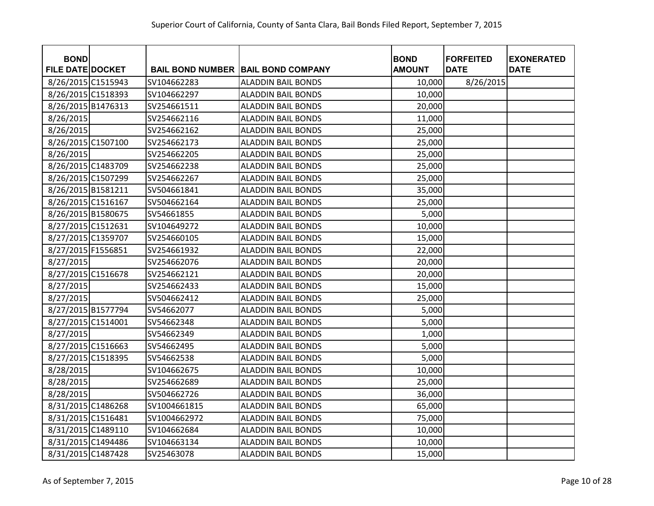| <b>BOND</b><br><b>FILE DATE DOCKET</b> |              | <b>BAIL BOND NUMBER BAIL BOND COMPANY</b> | <b>BOND</b><br><b>AMOUNT</b> | <b>FORFEITED</b><br><b>DATE</b> | <b>EXONERATED</b><br><b>DATE</b> |
|----------------------------------------|--------------|-------------------------------------------|------------------------------|---------------------------------|----------------------------------|
| 8/26/2015 C1515943                     | SV104662283  | <b>ALADDIN BAIL BONDS</b>                 | 10,000                       | 8/26/2015                       |                                  |
| 8/26/2015 C1518393                     | SV104662297  | <b>ALADDIN BAIL BONDS</b>                 | 10,000                       |                                 |                                  |
| 8/26/2015 B1476313                     | SV254661511  | <b>ALADDIN BAIL BONDS</b>                 | 20,000                       |                                 |                                  |
| 8/26/2015                              | SV254662116  | <b>ALADDIN BAIL BONDS</b>                 | 11,000                       |                                 |                                  |
| 8/26/2015                              | SV254662162  | <b>ALADDIN BAIL BONDS</b>                 | 25,000                       |                                 |                                  |
| 8/26/2015 C1507100                     | SV254662173  | <b>ALADDIN BAIL BONDS</b>                 | 25,000                       |                                 |                                  |
| 8/26/2015                              | SV254662205  | <b>ALADDIN BAIL BONDS</b>                 | 25,000                       |                                 |                                  |
| 8/26/2015 C1483709                     | SV254662238  | <b>ALADDIN BAIL BONDS</b>                 | 25,000                       |                                 |                                  |
| 8/26/2015 C1507299                     | SV254662267  | <b>ALADDIN BAIL BONDS</b>                 | 25,000                       |                                 |                                  |
| 8/26/2015 B1581211                     | SV504661841  | <b>ALADDIN BAIL BONDS</b>                 | 35,000                       |                                 |                                  |
| 8/26/2015 C1516167                     | SV504662164  | <b>ALADDIN BAIL BONDS</b>                 | 25,000                       |                                 |                                  |
| 8/26/2015 B1580675                     | SV54661855   | <b>ALADDIN BAIL BONDS</b>                 | 5,000                        |                                 |                                  |
| 8/27/2015 C1512631                     | SV104649272  | <b>ALADDIN BAIL BONDS</b>                 | 10,000                       |                                 |                                  |
| 8/27/2015 C1359707                     | SV254660105  | <b>ALADDIN BAIL BONDS</b>                 | 15,000                       |                                 |                                  |
| 8/27/2015 F1556851                     | SV254661932  | <b>ALADDIN BAIL BONDS</b>                 | 22,000                       |                                 |                                  |
| 8/27/2015                              | SV254662076  | <b>ALADDIN BAIL BONDS</b>                 | 20,000                       |                                 |                                  |
| 8/27/2015 C1516678                     | SV254662121  | <b>ALADDIN BAIL BONDS</b>                 | 20,000                       |                                 |                                  |
| 8/27/2015                              | SV254662433  | <b>ALADDIN BAIL BONDS</b>                 | 15,000                       |                                 |                                  |
| 8/27/2015                              | SV504662412  | <b>ALADDIN BAIL BONDS</b>                 | 25,000                       |                                 |                                  |
| 8/27/2015 B1577794                     | SV54662077   | <b>ALADDIN BAIL BONDS</b>                 | 5,000                        |                                 |                                  |
| 8/27/2015 C1514001                     | SV54662348   | <b>ALADDIN BAIL BONDS</b>                 | 5,000                        |                                 |                                  |
| 8/27/2015                              | SV54662349   | <b>ALADDIN BAIL BONDS</b>                 | 1,000                        |                                 |                                  |
| 8/27/2015 C1516663                     | SV54662495   | <b>ALADDIN BAIL BONDS</b>                 | 5,000                        |                                 |                                  |
| 8/27/2015 C1518395                     | SV54662538   | <b>ALADDIN BAIL BONDS</b>                 | 5,000                        |                                 |                                  |
| 8/28/2015                              | SV104662675  | <b>ALADDIN BAIL BONDS</b>                 | 10,000                       |                                 |                                  |
| 8/28/2015                              | SV254662689  | <b>ALADDIN BAIL BONDS</b>                 | 25,000                       |                                 |                                  |
| 8/28/2015                              | SV504662726  | <b>ALADDIN BAIL BONDS</b>                 | 36,000                       |                                 |                                  |
| 8/31/2015 C1486268                     | SV1004661815 | <b>ALADDIN BAIL BONDS</b>                 | 65,000                       |                                 |                                  |
| 8/31/2015 C1516481                     | SV1004662972 | <b>ALADDIN BAIL BONDS</b>                 | 75,000                       |                                 |                                  |
| 8/31/2015 C1489110                     | SV104662684  | <b>ALADDIN BAIL BONDS</b>                 | 10,000                       |                                 |                                  |
| 8/31/2015 C1494486                     | SV104663134  | <b>ALADDIN BAIL BONDS</b>                 | 10,000                       |                                 |                                  |
| 8/31/2015 C1487428                     | SV25463078   | <b>ALADDIN BAIL BONDS</b>                 | 15,000                       |                                 |                                  |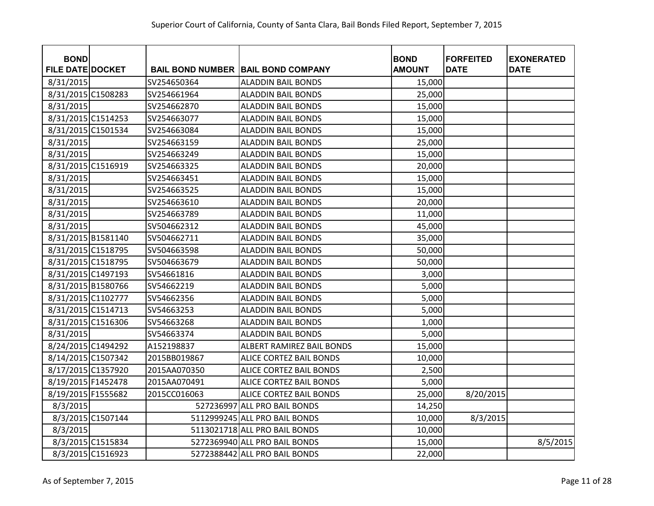| <b>BOND</b>             |                   |              |                                           | <b>BOND</b>   | <b>FORFEITED</b> | <b>EXONERATED</b> |
|-------------------------|-------------------|--------------|-------------------------------------------|---------------|------------------|-------------------|
| <b>FILE DATE DOCKET</b> |                   |              | <b>BAIL BOND NUMBER BAIL BOND COMPANY</b> | <b>AMOUNT</b> | <b>DATE</b>      | <b>DATE</b>       |
| 8/31/2015               |                   | SV254650364  | <b>ALADDIN BAIL BONDS</b>                 | 15,000        |                  |                   |
| 8/31/2015 C1508283      |                   | SV254661964  | <b>ALADDIN BAIL BONDS</b>                 | 25,000        |                  |                   |
| 8/31/2015               |                   | SV254662870  | <b>ALADDIN BAIL BONDS</b>                 | 15,000        |                  |                   |
| 8/31/2015 C1514253      |                   | SV254663077  | <b>ALADDIN BAIL BONDS</b>                 | 15,000        |                  |                   |
| 8/31/2015 C1501534      |                   | SV254663084  | <b>ALADDIN BAIL BONDS</b>                 | 15,000        |                  |                   |
| 8/31/2015               |                   | SV254663159  | <b>ALADDIN BAIL BONDS</b>                 | 25,000        |                  |                   |
| 8/31/2015               |                   | SV254663249  | <b>ALADDIN BAIL BONDS</b>                 | 15,000        |                  |                   |
| 8/31/2015 C1516919      |                   | SV254663325  | <b>ALADDIN BAIL BONDS</b>                 | 20,000        |                  |                   |
| 8/31/2015               |                   | SV254663451  | <b>ALADDIN BAIL BONDS</b>                 | 15,000        |                  |                   |
| 8/31/2015               |                   | SV254663525  | <b>ALADDIN BAIL BONDS</b>                 | 15,000        |                  |                   |
| 8/31/2015               |                   | SV254663610  | <b>ALADDIN BAIL BONDS</b>                 | 20,000        |                  |                   |
| 8/31/2015               |                   | SV254663789  | <b>ALADDIN BAIL BONDS</b>                 | 11,000        |                  |                   |
| 8/31/2015               |                   | SV504662312  | <b>ALADDIN BAIL BONDS</b>                 | 45,000        |                  |                   |
| 8/31/2015 B1581140      |                   | SV504662711  | <b>ALADDIN BAIL BONDS</b>                 | 35,000        |                  |                   |
| 8/31/2015 C1518795      |                   | SV504663598  | <b>ALADDIN BAIL BONDS</b>                 | 50,000        |                  |                   |
| 8/31/2015 C1518795      |                   | SV504663679  | <b>ALADDIN BAIL BONDS</b>                 | 50,000        |                  |                   |
| 8/31/2015 C1497193      |                   | SV54661816   | <b>ALADDIN BAIL BONDS</b>                 | 3,000         |                  |                   |
| 8/31/2015 B1580766      |                   | SV54662219   | <b>ALADDIN BAIL BONDS</b>                 | 5,000         |                  |                   |
| 8/31/2015 C1102777      |                   | SV54662356   | <b>ALADDIN BAIL BONDS</b>                 | 5,000         |                  |                   |
| 8/31/2015 C1514713      |                   | SV54663253   | <b>ALADDIN BAIL BONDS</b>                 | 5,000         |                  |                   |
| 8/31/2015 C1516306      |                   | SV54663268   | <b>ALADDIN BAIL BONDS</b>                 | 1,000         |                  |                   |
| 8/31/2015               |                   | SV54663374   | <b>ALADDIN BAIL BONDS</b>                 | 5,000         |                  |                   |
| 8/24/2015 C1494292      |                   | A152198837   | ALBERT RAMIREZ BAIL BONDS                 | 15,000        |                  |                   |
| 8/14/2015 C1507342      |                   | 2015BB019867 | ALICE CORTEZ BAIL BONDS                   | 10,000        |                  |                   |
| 8/17/2015 C1357920      |                   | 2015AA070350 | ALICE CORTEZ BAIL BONDS                   | 2,500         |                  |                   |
| 8/19/2015 F1452478      |                   | 2015AA070491 | ALICE CORTEZ BAIL BONDS                   | 5,000         |                  |                   |
| 8/19/2015 F1555682      |                   | 2015CC016063 | ALICE CORTEZ BAIL BONDS                   | 25,000        | 8/20/2015        |                   |
| 8/3/2015                |                   |              | 527236997 ALL PRO BAIL BONDS              | 14,250        |                  |                   |
|                         | 8/3/2015 C1507144 |              | 5112999245 ALL PRO BAIL BONDS             | 10,000        | 8/3/2015         |                   |
| 8/3/2015                |                   |              | 5113021718 ALL PRO BAIL BONDS             | 10,000        |                  |                   |
|                         | 8/3/2015 C1515834 |              | 5272369940 ALL PRO BAIL BONDS             | 15,000        |                  | 8/5/2015          |
|                         | 8/3/2015 C1516923 |              | 5272388442 ALL PRO BAIL BONDS             | 22,000        |                  |                   |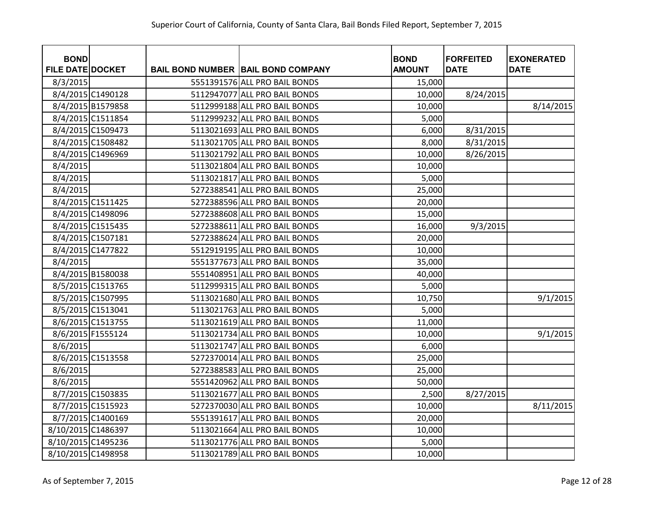| <b>BOND</b><br><b>FILE DATE DOCKET</b> |                   | <b>BAIL BOND NUMBER BAIL BOND COMPANY</b> | <b>BOND</b><br><b>AMOUNT</b> | <b>FORFEITED</b><br><b>DATE</b> | <b>EXONERATED</b><br><b>DATE</b> |
|----------------------------------------|-------------------|-------------------------------------------|------------------------------|---------------------------------|----------------------------------|
| 8/3/2015                               |                   | 5551391576 ALL PRO BAIL BONDS             | 15,000                       |                                 |                                  |
|                                        | 8/4/2015 C1490128 | 5112947077 ALL PRO BAIL BONDS             | 10,000                       | 8/24/2015                       |                                  |
|                                        | 8/4/2015 B1579858 | 5112999188 ALL PRO BAIL BONDS             | 10,000                       |                                 | 8/14/2015                        |
|                                        | 8/4/2015 C1511854 | 5112999232 ALL PRO BAIL BONDS             | 5,000                        |                                 |                                  |
|                                        | 8/4/2015 C1509473 | 5113021693 ALL PRO BAIL BONDS             | 6,000                        | 8/31/2015                       |                                  |
|                                        | 8/4/2015 C1508482 | 5113021705 ALL PRO BAIL BONDS             | 8,000                        | 8/31/2015                       |                                  |
|                                        | 8/4/2015 C1496969 | 5113021792 ALL PRO BAIL BONDS             | 10,000                       | 8/26/2015                       |                                  |
| 8/4/2015                               |                   | 5113021804 ALL PRO BAIL BONDS             | 10,000                       |                                 |                                  |
| 8/4/2015                               |                   | 5113021817 ALL PRO BAIL BONDS             | 5,000                        |                                 |                                  |
| 8/4/2015                               |                   | 5272388541 ALL PRO BAIL BONDS             | 25,000                       |                                 |                                  |
|                                        | 8/4/2015 C1511425 | 5272388596 ALL PRO BAIL BONDS             | 20,000                       |                                 |                                  |
|                                        | 8/4/2015 C1498096 | 5272388608 ALL PRO BAIL BONDS             | 15,000                       |                                 |                                  |
|                                        | 8/4/2015 C1515435 | 5272388611 ALL PRO BAIL BONDS             | 16,000                       | 9/3/2015                        |                                  |
|                                        | 8/4/2015 C1507181 | 5272388624 ALL PRO BAIL BONDS             | 20,000                       |                                 |                                  |
|                                        | 8/4/2015 C1477822 | 5512919195 ALL PRO BAIL BONDS             | 10,000                       |                                 |                                  |
| 8/4/2015                               |                   | 5551377673 ALL PRO BAIL BONDS             | 35,000                       |                                 |                                  |
|                                        | 8/4/2015 B1580038 | 5551408951 ALL PRO BAIL BONDS             | 40,000                       |                                 |                                  |
|                                        | 8/5/2015 C1513765 | 5112999315 ALL PRO BAIL BONDS             | 5,000                        |                                 |                                  |
|                                        | 8/5/2015 C1507995 | 5113021680 ALL PRO BAIL BONDS             | 10,750                       |                                 | 9/1/2015                         |
|                                        | 8/5/2015 C1513041 | 5113021763 ALL PRO BAIL BONDS             | 5,000                        |                                 |                                  |
|                                        | 8/6/2015 C1513755 | 5113021619 ALL PRO BAIL BONDS             | 11,000                       |                                 |                                  |
|                                        | 8/6/2015 F1555124 | 5113021734 ALL PRO BAIL BONDS             | 10,000                       |                                 | 9/1/2015                         |
| 8/6/2015                               |                   | 5113021747 ALL PRO BAIL BONDS             | 6,000                        |                                 |                                  |
|                                        | 8/6/2015 C1513558 | 5272370014 ALL PRO BAIL BONDS             | 25,000                       |                                 |                                  |
| 8/6/2015                               |                   | 5272388583 ALL PRO BAIL BONDS             | 25,000                       |                                 |                                  |
| 8/6/2015                               |                   | 5551420962 ALL PRO BAIL BONDS             | 50,000                       |                                 |                                  |
|                                        | 8/7/2015 C1503835 | 5113021677 ALL PRO BAIL BONDS             | 2,500                        | 8/27/2015                       |                                  |
|                                        | 8/7/2015 C1515923 | 5272370030 ALL PRO BAIL BONDS             | 10,000                       |                                 | 8/11/2015                        |
|                                        | 8/7/2015 C1400169 | 5551391617 ALL PRO BAIL BONDS             | 20,000                       |                                 |                                  |
| 8/10/2015 C1486397                     |                   | 5113021664 ALL PRO BAIL BONDS             | 10,000                       |                                 |                                  |
| 8/10/2015 C1495236                     |                   | 5113021776 ALL PRO BAIL BONDS             | 5,000                        |                                 |                                  |
| 8/10/2015 C1498958                     |                   | 5113021789 ALL PRO BAIL BONDS             | 10,000                       |                                 |                                  |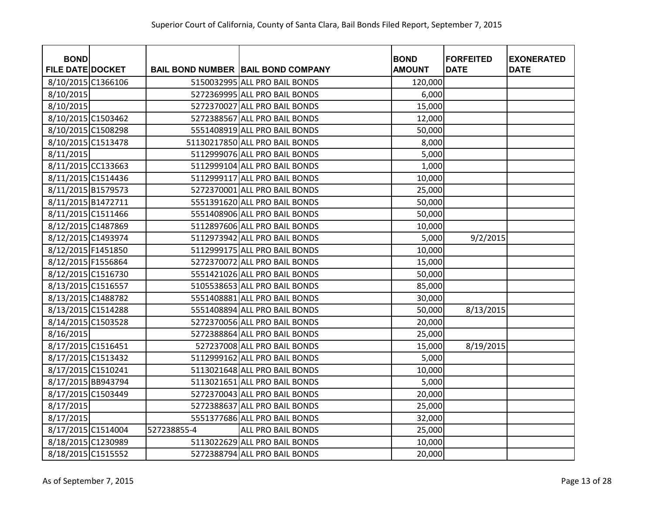| <b>BOND</b>             |             |                                           | <b>BOND</b>   | <b>FORFEITED</b> | <b>EXONERATED</b> |
|-------------------------|-------------|-------------------------------------------|---------------|------------------|-------------------|
| <b>FILE DATE DOCKET</b> |             | <b>BAIL BOND NUMBER BAIL BOND COMPANY</b> | <b>AMOUNT</b> | <b>DATE</b>      | <b>DATE</b>       |
| 8/10/2015 C1366106      |             | 5150032995 ALL PRO BAIL BONDS             | 120,000       |                  |                   |
| 8/10/2015               |             | 5272369995 ALL PRO BAIL BONDS             | 6,000         |                  |                   |
| 8/10/2015               |             | 5272370027 ALL PRO BAIL BONDS             | 15,000        |                  |                   |
| 8/10/2015 C1503462      |             | 5272388567 ALL PRO BAIL BONDS             | 12,000        |                  |                   |
| 8/10/2015 C1508298      |             | 5551408919 ALL PRO BAIL BONDS             | 50,000        |                  |                   |
| 8/10/2015 C1513478      |             | 51130217850 ALL PRO BAIL BONDS            | 8,000         |                  |                   |
| 8/11/2015               |             | 5112999076 ALL PRO BAIL BONDS             | 5,000         |                  |                   |
| 8/11/2015 CC133663      |             | 5112999104 ALL PRO BAIL BONDS             | 1,000         |                  |                   |
| 8/11/2015 C1514436      |             | 5112999117 ALL PRO BAIL BONDS             | 10,000        |                  |                   |
| 8/11/2015 B1579573      |             | 5272370001 ALL PRO BAIL BONDS             | 25,000        |                  |                   |
| 8/11/2015 B1472711      |             | 5551391620 ALL PRO BAIL BONDS             | 50,000        |                  |                   |
| 8/11/2015 C1511466      |             | 5551408906 ALL PRO BAIL BONDS             | 50,000        |                  |                   |
| 8/12/2015 C1487869      |             | 5112897606 ALL PRO BAIL BONDS             | 10,000        |                  |                   |
| 8/12/2015 C1493974      |             | 5112973942 ALL PRO BAIL BONDS             | 5,000         | 9/2/2015         |                   |
| 8/12/2015 F1451850      |             | 5112999175 ALL PRO BAIL BONDS             | 10,000        |                  |                   |
| 8/12/2015 F1556864      |             | 5272370072 ALL PRO BAIL BONDS             | 15,000        |                  |                   |
| 8/12/2015 C1516730      |             | 5551421026 ALL PRO BAIL BONDS             | 50,000        |                  |                   |
| 8/13/2015 C1516557      |             | 5105538653 ALL PRO BAIL BONDS             | 85,000        |                  |                   |
| 8/13/2015 C1488782      |             | 5551408881 ALL PRO BAIL BONDS             | 30,000        |                  |                   |
| 8/13/2015 C1514288      |             | 5551408894 ALL PRO BAIL BONDS             | 50,000        | 8/13/2015        |                   |
| 8/14/2015 C1503528      |             | 5272370056 ALL PRO BAIL BONDS             | 20,000        |                  |                   |
| 8/16/2015               |             | 5272388864 ALL PRO BAIL BONDS             | 25,000        |                  |                   |
| 8/17/2015 C1516451      |             | 527237008 ALL PRO BAIL BONDS              | 15,000        | 8/19/2015        |                   |
| 8/17/2015 C1513432      |             | 5112999162 ALL PRO BAIL BONDS             | 5,000         |                  |                   |
| 8/17/2015 C1510241      |             | 5113021648 ALL PRO BAIL BONDS             | 10,000        |                  |                   |
| 8/17/2015 BB943794      |             | 5113021651 ALL PRO BAIL BONDS             | 5,000         |                  |                   |
| 8/17/2015 C1503449      |             | 5272370043 ALL PRO BAIL BONDS             | 20,000        |                  |                   |
| 8/17/2015               |             | 5272388637 ALL PRO BAIL BONDS             | 25,000        |                  |                   |
| 8/17/2015               |             | 5551377686 ALL PRO BAIL BONDS             | 32,000        |                  |                   |
| 8/17/2015 C1514004      | 527238855-4 | ALL PRO BAIL BONDS                        | 25,000        |                  |                   |
| 8/18/2015 C1230989      |             | 5113022629 ALL PRO BAIL BONDS             | 10,000        |                  |                   |
| 8/18/2015 C1515552      |             | 5272388794 ALL PRO BAIL BONDS             | 20,000        |                  |                   |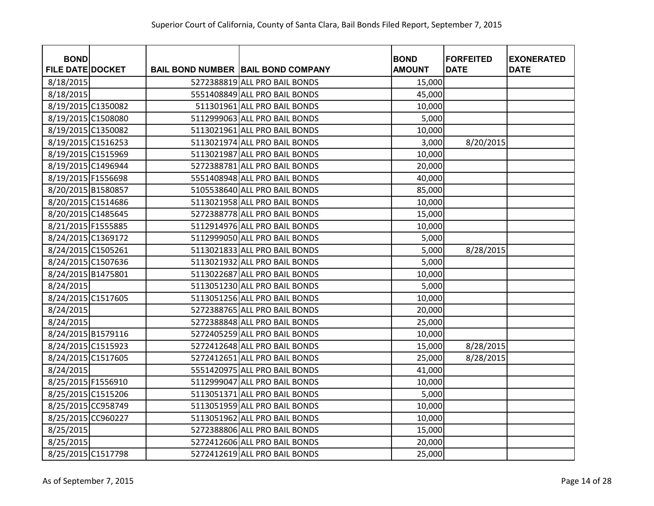| <b>BOND</b>             |  |                                             | <b>BOND</b>   | <b>FORFEITED</b> | <b>EXONERATED</b> |
|-------------------------|--|---------------------------------------------|---------------|------------------|-------------------|
| <b>FILE DATE DOCKET</b> |  | <b>BAIL BOND NUMBER   BAIL BOND COMPANY</b> | <b>AMOUNT</b> | <b>DATE</b>      | <b>DATE</b>       |
| 8/18/2015               |  | 5272388819 ALL PRO BAIL BONDS               | 15,000        |                  |                   |
| 8/18/2015               |  | 5551408849 ALL PRO BAIL BONDS               | 45,000        |                  |                   |
| 8/19/2015 C1350082      |  | 511301961 ALL PRO BAIL BONDS                | 10,000        |                  |                   |
| 8/19/2015 C1508080      |  | 5112999063 ALL PRO BAIL BONDS               | 5,000         |                  |                   |
| 8/19/2015 C1350082      |  | 5113021961 ALL PRO BAIL BONDS               | 10,000        |                  |                   |
| 8/19/2015 C1516253      |  | 5113021974 ALL PRO BAIL BONDS               | 3,000         | 8/20/2015        |                   |
| 8/19/2015 C1515969      |  | 5113021987 ALL PRO BAIL BONDS               | 10,000        |                  |                   |
| 8/19/2015 C1496944      |  | 5272388781 ALL PRO BAIL BONDS               | 20,000        |                  |                   |
| 8/19/2015 F1556698      |  | 5551408948 ALL PRO BAIL BONDS               | 40,000        |                  |                   |
| 8/20/2015 B1580857      |  | 5105538640 ALL PRO BAIL BONDS               | 85,000        |                  |                   |
| 8/20/2015 C1514686      |  | 5113021958 ALL PRO BAIL BONDS               | 10,000        |                  |                   |
| 8/20/2015 C1485645      |  | 5272388778 ALL PRO BAIL BONDS               | 15,000        |                  |                   |
| 8/21/2015 F1555885      |  | 5112914976 ALL PRO BAIL BONDS               | 10,000        |                  |                   |
| 8/24/2015 C1369172      |  | 5112999050 ALL PRO BAIL BONDS               | 5,000         |                  |                   |
| 8/24/2015 C1505261      |  | 5113021833 ALL PRO BAIL BONDS               | 5,000         | 8/28/2015        |                   |
| 8/24/2015 C1507636      |  | 5113021932 ALL PRO BAIL BONDS               | 5,000         |                  |                   |
| 8/24/2015 B1475801      |  | 5113022687 ALL PRO BAIL BONDS               | 10,000        |                  |                   |
| 8/24/2015               |  | 5113051230 ALL PRO BAIL BONDS               | 5,000         |                  |                   |
| 8/24/2015 C1517605      |  | 5113051256 ALL PRO BAIL BONDS               | 10,000        |                  |                   |
| 8/24/2015               |  | 5272388765 ALL PRO BAIL BONDS               | 20,000        |                  |                   |
| 8/24/2015               |  | 5272388848 ALL PRO BAIL BONDS               | 25,000        |                  |                   |
| 8/24/2015 B1579116      |  | 5272405259 ALL PRO BAIL BONDS               | 10,000        |                  |                   |
| 8/24/2015 C1515923      |  | 5272412648 ALL PRO BAIL BONDS               | 15,000        | 8/28/2015        |                   |
| 8/24/2015 C1517605      |  | 5272412651 ALL PRO BAIL BONDS               | 25,000        | 8/28/2015        |                   |
| 8/24/2015               |  | 5551420975 ALL PRO BAIL BONDS               | 41,000        |                  |                   |
| 8/25/2015 F1556910      |  | 5112999047 ALL PRO BAIL BONDS               | 10,000        |                  |                   |
| 8/25/2015 C1515206      |  | 5113051371 ALL PRO BAIL BONDS               | 5,000         |                  |                   |
| 8/25/2015 CC958749      |  | 5113051959 ALL PRO BAIL BONDS               | 10,000        |                  |                   |
| 8/25/2015 CC960227      |  | 5113051962 ALL PRO BAIL BONDS               | 10,000        |                  |                   |
| 8/25/2015               |  | 5272388806 ALL PRO BAIL BONDS               | 15,000        |                  |                   |
| 8/25/2015               |  | 5272412606 ALL PRO BAIL BONDS               | 20,000        |                  |                   |
| 8/25/2015 C1517798      |  | 5272412619 ALL PRO BAIL BONDS               | 25,000        |                  |                   |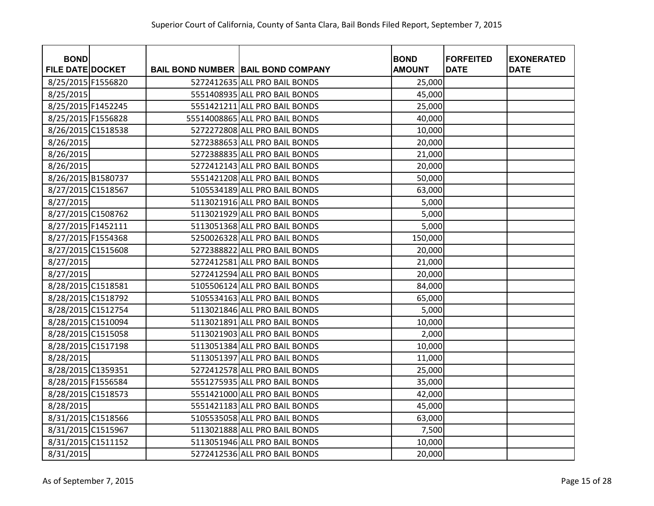| <b>BOND</b>             |  |                                             | <b>BOND</b>   | <b>FORFEITED</b> | <b>EXONERATED</b> |
|-------------------------|--|---------------------------------------------|---------------|------------------|-------------------|
| <b>FILE DATE DOCKET</b> |  | <b>BAIL BOND NUMBER   BAIL BOND COMPANY</b> | <b>AMOUNT</b> | <b>DATE</b>      | <b>DATE</b>       |
| 8/25/2015 F1556820      |  | 5272412635 ALL PRO BAIL BONDS               | 25,000        |                  |                   |
| 8/25/2015               |  | 5551408935 ALL PRO BAIL BONDS               | 45,000        |                  |                   |
| 8/25/2015 F1452245      |  | 5551421211 ALL PRO BAIL BONDS               | 25,000        |                  |                   |
| 8/25/2015 F1556828      |  | 55514008865 ALL PRO BAIL BONDS              | 40,000        |                  |                   |
| 8/26/2015 C1518538      |  | 5272272808 ALL PRO BAIL BONDS               | 10,000        |                  |                   |
| 8/26/2015               |  | 5272388653 ALL PRO BAIL BONDS               | 20,000        |                  |                   |
| 8/26/2015               |  | 5272388835 ALL PRO BAIL BONDS               | 21,000        |                  |                   |
| 8/26/2015               |  | 5272412143 ALL PRO BAIL BONDS               | 20,000        |                  |                   |
| 8/26/2015 B1580737      |  | 5551421208 ALL PRO BAIL BONDS               | 50,000        |                  |                   |
| 8/27/2015 C1518567      |  | 5105534189 ALL PRO BAIL BONDS               | 63,000        |                  |                   |
| 8/27/2015               |  | 5113021916 ALL PRO BAIL BONDS               | 5,000         |                  |                   |
| 8/27/2015 C1508762      |  | 5113021929 ALL PRO BAIL BONDS               | 5,000         |                  |                   |
| 8/27/2015 F1452111      |  | 5113051368 ALL PRO BAIL BONDS               | 5,000         |                  |                   |
| 8/27/2015 F1554368      |  | 5250026328 ALL PRO BAIL BONDS               | 150,000       |                  |                   |
| 8/27/2015 C1515608      |  | 5272388822 ALL PRO BAIL BONDS               | 20,000        |                  |                   |
| 8/27/2015               |  | 5272412581 ALL PRO BAIL BONDS               | 21,000        |                  |                   |
| 8/27/2015               |  | 5272412594 ALL PRO BAIL BONDS               | 20,000        |                  |                   |
| 8/28/2015 C1518581      |  | 5105506124 ALL PRO BAIL BONDS               | 84,000        |                  |                   |
| 8/28/2015 C1518792      |  | 5105534163 ALL PRO BAIL BONDS               | 65,000        |                  |                   |
| 8/28/2015 C1512754      |  | 5113021846 ALL PRO BAIL BONDS               | 5,000         |                  |                   |
| 8/28/2015 C1510094      |  | 5113021891 ALL PRO BAIL BONDS               | 10,000        |                  |                   |
| 8/28/2015 C1515058      |  | 5113021903 ALL PRO BAIL BONDS               | 2,000         |                  |                   |
| 8/28/2015 C1517198      |  | 5113051384 ALL PRO BAIL BONDS               | 10,000        |                  |                   |
| 8/28/2015               |  | 5113051397 ALL PRO BAIL BONDS               | 11,000        |                  |                   |
| 8/28/2015 C1359351      |  | 5272412578 ALL PRO BAIL BONDS               | 25,000        |                  |                   |
| 8/28/2015 F1556584      |  | 5551275935 ALL PRO BAIL BONDS               | 35,000        |                  |                   |
| 8/28/2015 C1518573      |  | 5551421000 ALL PRO BAIL BONDS               | 42,000        |                  |                   |
| 8/28/2015               |  | 5551421183 ALL PRO BAIL BONDS               | 45,000        |                  |                   |
| 8/31/2015 C1518566      |  | 5105535058 ALL PRO BAIL BONDS               | 63,000        |                  |                   |
| 8/31/2015 C1515967      |  | 5113021888 ALL PRO BAIL BONDS               | 7,500         |                  |                   |
| 8/31/2015 C1511152      |  | 5113051946 ALL PRO BAIL BONDS               | 10,000        |                  |                   |
| 8/31/2015               |  | 5272412536 ALL PRO BAIL BONDS               | 20,000        |                  |                   |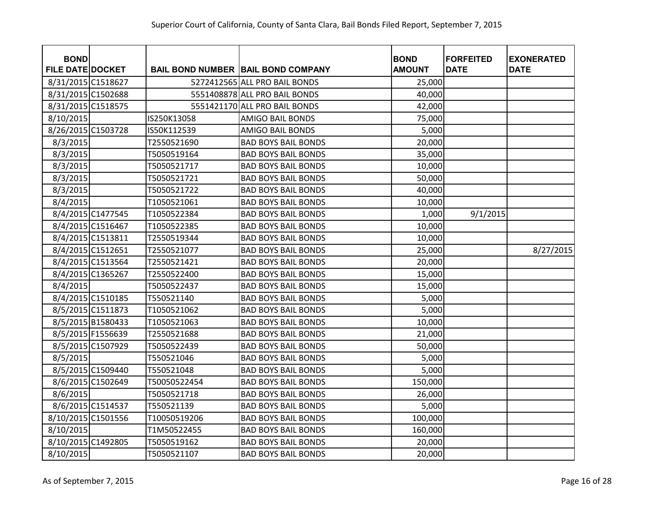| <b>BOND</b><br><b>FILE DATE DOCKET</b> |                   |              | <b>BAIL BOND NUMBER BAIL BOND COMPANY</b> | <b>BOND</b><br><b>AMOUNT</b> | <b>FORFEITED</b><br><b>DATE</b> | <b>EXONERATED</b><br><b>DATE</b> |
|----------------------------------------|-------------------|--------------|-------------------------------------------|------------------------------|---------------------------------|----------------------------------|
| 8/31/2015 C1518627                     |                   |              | 5272412565 ALL PRO BAIL BONDS             | 25,000                       |                                 |                                  |
| 8/31/2015 C1502688                     |                   |              | 5551408878 ALL PRO BAIL BONDS             | 40,000                       |                                 |                                  |
| 8/31/2015 C1518575                     |                   |              | 5551421170 ALL PRO BAIL BONDS             | 42,000                       |                                 |                                  |
| 8/10/2015                              |                   | IS250K13058  | <b>AMIGO BAIL BONDS</b>                   | 75,000                       |                                 |                                  |
| 8/26/2015 C1503728                     |                   | IS50K112539  | <b>AMIGO BAIL BONDS</b>                   | 5,000                        |                                 |                                  |
| 8/3/2015                               |                   | T2550521690  | <b>BAD BOYS BAIL BONDS</b>                | 20,000                       |                                 |                                  |
| 8/3/2015                               |                   | T5050519164  | <b>BAD BOYS BAIL BONDS</b>                | 35,000                       |                                 |                                  |
| 8/3/2015                               |                   | T5050521717  | <b>BAD BOYS BAIL BONDS</b>                | 10,000                       |                                 |                                  |
| 8/3/2015                               |                   | T5050521721  | <b>BAD BOYS BAIL BONDS</b>                | 50,000                       |                                 |                                  |
| 8/3/2015                               |                   | T5050521722  | <b>BAD BOYS BAIL BONDS</b>                | 40,000                       |                                 |                                  |
| 8/4/2015                               |                   | T1050521061  | <b>BAD BOYS BAIL BONDS</b>                | 10,000                       |                                 |                                  |
|                                        | 8/4/2015 C1477545 | T1050522384  | <b>BAD BOYS BAIL BONDS</b>                | 1,000                        | 9/1/2015                        |                                  |
|                                        | 8/4/2015 C1516467 | T1050522385  | <b>BAD BOYS BAIL BONDS</b>                | 10,000                       |                                 |                                  |
|                                        | 8/4/2015 C1513811 | T2550519344  | <b>BAD BOYS BAIL BONDS</b>                | 10,000                       |                                 |                                  |
|                                        | 8/4/2015 C1512651 | T2550521077  | <b>BAD BOYS BAIL BONDS</b>                | 25,000                       |                                 | 8/27/2015                        |
|                                        | 8/4/2015 C1513564 | T2550521421  | <b>BAD BOYS BAIL BONDS</b>                | 20,000                       |                                 |                                  |
|                                        | 8/4/2015 C1365267 | T2550522400  | <b>BAD BOYS BAIL BONDS</b>                | 15,000                       |                                 |                                  |
| 8/4/2015                               |                   | T5050522437  | <b>BAD BOYS BAIL BONDS</b>                | 15,000                       |                                 |                                  |
|                                        | 8/4/2015 C1510185 | T550521140   | <b>BAD BOYS BAIL BONDS</b>                | 5,000                        |                                 |                                  |
|                                        | 8/5/2015 C1511873 | T1050521062  | <b>BAD BOYS BAIL BONDS</b>                | 5,000                        |                                 |                                  |
|                                        | 8/5/2015 B1580433 | T1050521063  | <b>BAD BOYS BAIL BONDS</b>                | 10,000                       |                                 |                                  |
|                                        | 8/5/2015 F1556639 | T2550521688  | <b>BAD BOYS BAIL BONDS</b>                | 21,000                       |                                 |                                  |
|                                        | 8/5/2015 C1507929 | T5050522439  | <b>BAD BOYS BAIL BONDS</b>                | 50,000                       |                                 |                                  |
| 8/5/2015                               |                   | T550521046   | <b>BAD BOYS BAIL BONDS</b>                | 5,000                        |                                 |                                  |
|                                        | 8/5/2015 C1509440 | T550521048   | <b>BAD BOYS BAIL BONDS</b>                | 5,000                        |                                 |                                  |
|                                        | 8/6/2015 C1502649 | T50050522454 | <b>BAD BOYS BAIL BONDS</b>                | 150,000                      |                                 |                                  |
| 8/6/2015                               |                   | T5050521718  | <b>BAD BOYS BAIL BONDS</b>                | 26,000                       |                                 |                                  |
|                                        | 8/6/2015 C1514537 | T550521139   | <b>BAD BOYS BAIL BONDS</b>                | 5,000                        |                                 |                                  |
| 8/10/2015 C1501556                     |                   | T10050519206 | <b>BAD BOYS BAIL BONDS</b>                | 100,000                      |                                 |                                  |
| 8/10/2015                              |                   | T1M50522455  | <b>BAD BOYS BAIL BONDS</b>                | 160,000                      |                                 |                                  |
| 8/10/2015 C1492805                     |                   | T5050519162  | <b>BAD BOYS BAIL BONDS</b>                | 20,000                       |                                 |                                  |
| 8/10/2015                              |                   | T5050521107  | <b>BAD BOYS BAIL BONDS</b>                | 20,000                       |                                 |                                  |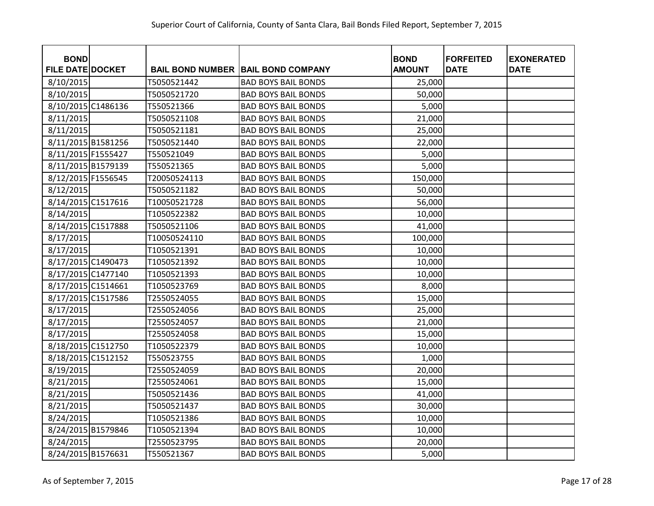| <b>BOND</b>             |              |                                           | <b>BOND</b>   | <b>FORFEITED</b><br><b>DATE</b> | <b>EXONERATED</b><br><b>DATE</b> |
|-------------------------|--------------|-------------------------------------------|---------------|---------------------------------|----------------------------------|
| <b>FILE DATE DOCKET</b> |              | <b>BAIL BOND NUMBER BAIL BOND COMPANY</b> | <b>AMOUNT</b> |                                 |                                  |
| 8/10/2015               | T5050521442  | <b>BAD BOYS BAIL BONDS</b>                | 25,000        |                                 |                                  |
| 8/10/2015               | T5050521720  | <b>BAD BOYS BAIL BONDS</b>                | 50,000        |                                 |                                  |
| 8/10/2015 C1486136      | T550521366   | <b>BAD BOYS BAIL BONDS</b>                | 5,000         |                                 |                                  |
| 8/11/2015               | T5050521108  | <b>BAD BOYS BAIL BONDS</b>                | 21,000        |                                 |                                  |
| 8/11/2015               | T5050521181  | <b>BAD BOYS BAIL BONDS</b>                | 25,000        |                                 |                                  |
| 8/11/2015 B1581256      | T5050521440  | <b>BAD BOYS BAIL BONDS</b>                | 22,000        |                                 |                                  |
| 8/11/2015 F1555427      | T550521049   | <b>BAD BOYS BAIL BONDS</b>                | 5,000         |                                 |                                  |
| 8/11/2015 B1579139      | T550521365   | <b>BAD BOYS BAIL BONDS</b>                | 5,000         |                                 |                                  |
| 8/12/2015 F1556545      | T20050524113 | <b>BAD BOYS BAIL BONDS</b>                | 150,000       |                                 |                                  |
| 8/12/2015               | T5050521182  | <b>BAD BOYS BAIL BONDS</b>                | 50,000        |                                 |                                  |
| 8/14/2015 C1517616      | T10050521728 | <b>BAD BOYS BAIL BONDS</b>                | 56,000        |                                 |                                  |
| 8/14/2015               | T1050522382  | <b>BAD BOYS BAIL BONDS</b>                | 10,000        |                                 |                                  |
| 8/14/2015 C1517888      | T5050521106  | <b>BAD BOYS BAIL BONDS</b>                | 41,000        |                                 |                                  |
| 8/17/2015               | T10050524110 | <b>BAD BOYS BAIL BONDS</b>                | 100,000       |                                 |                                  |
| 8/17/2015               | T1050521391  | <b>BAD BOYS BAIL BONDS</b>                | 10,000        |                                 |                                  |
| 8/17/2015 C1490473      | T1050521392  | <b>BAD BOYS BAIL BONDS</b>                | 10,000        |                                 |                                  |
| 8/17/2015 C1477140      | T1050521393  | <b>BAD BOYS BAIL BONDS</b>                | 10,000        |                                 |                                  |
| 8/17/2015 C1514661      | T1050523769  | <b>BAD BOYS BAIL BONDS</b>                | 8,000         |                                 |                                  |
| 8/17/2015 C1517586      | T2550524055  | <b>BAD BOYS BAIL BONDS</b>                | 15,000        |                                 |                                  |
| 8/17/2015               | T2550524056  | <b>BAD BOYS BAIL BONDS</b>                | 25,000        |                                 |                                  |
| 8/17/2015               | T2550524057  | <b>BAD BOYS BAIL BONDS</b>                | 21,000        |                                 |                                  |
| 8/17/2015               | T2550524058  | <b>BAD BOYS BAIL BONDS</b>                | 15,000        |                                 |                                  |
| 8/18/2015 C1512750      | T1050522379  | <b>BAD BOYS BAIL BONDS</b>                | 10,000        |                                 |                                  |
| 8/18/2015 C1512152      | T550523755   | <b>BAD BOYS BAIL BONDS</b>                | 1,000         |                                 |                                  |
| 8/19/2015               | T2550524059  | <b>BAD BOYS BAIL BONDS</b>                | 20,000        |                                 |                                  |
| 8/21/2015               | T2550524061  | <b>BAD BOYS BAIL BONDS</b>                | 15,000        |                                 |                                  |
| 8/21/2015               | T5050521436  | <b>BAD BOYS BAIL BONDS</b>                | 41,000        |                                 |                                  |
| 8/21/2015               | T5050521437  | <b>BAD BOYS BAIL BONDS</b>                | 30,000        |                                 |                                  |
| 8/24/2015               | T1050521386  | <b>BAD BOYS BAIL BONDS</b>                | 10,000        |                                 |                                  |
| 8/24/2015 B1579846      | T1050521394  | <b>BAD BOYS BAIL BONDS</b>                | 10,000        |                                 |                                  |
| 8/24/2015               | T2550523795  | <b>BAD BOYS BAIL BONDS</b>                | 20,000        |                                 |                                  |
| 8/24/2015 B1576631      | T550521367   | <b>BAD BOYS BAIL BONDS</b>                | 5,000         |                                 |                                  |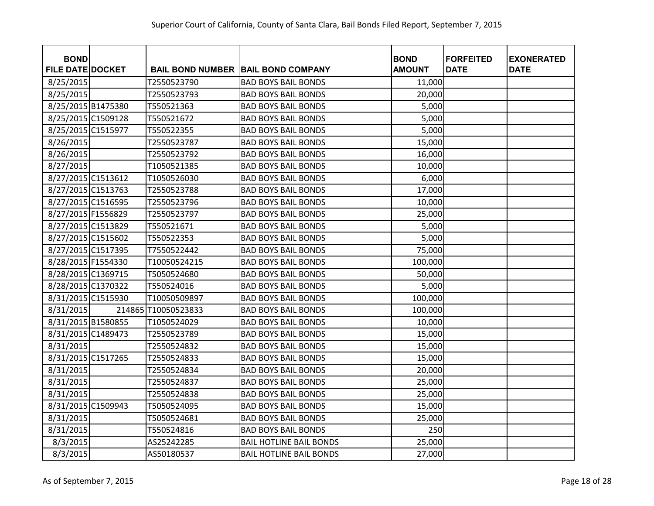| <b>BOND</b>             |                     |                                           | <b>BOND</b>   | <b>FORFEITED</b> | <b>EXONERATED</b> |
|-------------------------|---------------------|-------------------------------------------|---------------|------------------|-------------------|
| <b>FILE DATE DOCKET</b> |                     | <b>BAIL BOND NUMBER BAIL BOND COMPANY</b> | <b>AMOUNT</b> | <b>DATE</b>      | <b>DATE</b>       |
| 8/25/2015               | T2550523790         | <b>BAD BOYS BAIL BONDS</b>                | 11,000        |                  |                   |
| 8/25/2015               | T2550523793         | <b>BAD BOYS BAIL BONDS</b>                | 20,000        |                  |                   |
| 8/25/2015 B1475380      | T550521363          | <b>BAD BOYS BAIL BONDS</b>                | 5,000         |                  |                   |
| 8/25/2015 C1509128      | T550521672          | <b>BAD BOYS BAIL BONDS</b>                | 5,000         |                  |                   |
| 8/25/2015 C1515977      | T550522355          | <b>BAD BOYS BAIL BONDS</b>                | 5,000         |                  |                   |
| 8/26/2015               | T2550523787         | <b>BAD BOYS BAIL BONDS</b>                | 15,000        |                  |                   |
| 8/26/2015               | T2550523792         | <b>BAD BOYS BAIL BONDS</b>                | 16,000        |                  |                   |
| 8/27/2015               | T1050521385         | <b>BAD BOYS BAIL BONDS</b>                | 10,000        |                  |                   |
| 8/27/2015 C1513612      | T1050526030         | <b>BAD BOYS BAIL BONDS</b>                | 6,000         |                  |                   |
| 8/27/2015 C1513763      | T2550523788         | <b>BAD BOYS BAIL BONDS</b>                | 17,000        |                  |                   |
| 8/27/2015 C1516595      | T2550523796         | <b>BAD BOYS BAIL BONDS</b>                | 10,000        |                  |                   |
| 8/27/2015 F1556829      | T2550523797         | <b>BAD BOYS BAIL BONDS</b>                | 25,000        |                  |                   |
| 8/27/2015 C1513829      | T550521671          | <b>BAD BOYS BAIL BONDS</b>                | 5,000         |                  |                   |
| 8/27/2015 C1515602      | T550522353          | <b>BAD BOYS BAIL BONDS</b>                | 5,000         |                  |                   |
| 8/27/2015 C1517395      | T7550522442         | <b>BAD BOYS BAIL BONDS</b>                | 75,000        |                  |                   |
| 8/28/2015 F1554330      | T10050524215        | <b>BAD BOYS BAIL BONDS</b>                | 100,000       |                  |                   |
| 8/28/2015 C1369715      | T5050524680         | <b>BAD BOYS BAIL BONDS</b>                | 50,000        |                  |                   |
| 8/28/2015 C1370322      | T550524016          | <b>BAD BOYS BAIL BONDS</b>                | 5,000         |                  |                   |
| 8/31/2015 C1515930      | T10050509897        | <b>BAD BOYS BAIL BONDS</b>                | 100,000       |                  |                   |
| 8/31/2015               | 214865 T10050523833 | <b>BAD BOYS BAIL BONDS</b>                | 100,000       |                  |                   |
| 8/31/2015 B1580855      | T1050524029         | <b>BAD BOYS BAIL BONDS</b>                | 10,000        |                  |                   |
| 8/31/2015 C1489473      | T2550523789         | <b>BAD BOYS BAIL BONDS</b>                | 15,000        |                  |                   |
| 8/31/2015               | T2550524832         | <b>BAD BOYS BAIL BONDS</b>                | 15,000        |                  |                   |
| 8/31/2015 C1517265      | T2550524833         | <b>BAD BOYS BAIL BONDS</b>                | 15,000        |                  |                   |
| 8/31/2015               | T2550524834         | <b>BAD BOYS BAIL BONDS</b>                | 20,000        |                  |                   |
| 8/31/2015               | T2550524837         | <b>BAD BOYS BAIL BONDS</b>                | 25,000        |                  |                   |
| 8/31/2015               | T2550524838         | <b>BAD BOYS BAIL BONDS</b>                | 25,000        |                  |                   |
| 8/31/2015 C1509943      | T5050524095         | <b>BAD BOYS BAIL BONDS</b>                | 15,000        |                  |                   |
| 8/31/2015               | T5050524681         | <b>BAD BOYS BAIL BONDS</b>                | 25,000        |                  |                   |
| 8/31/2015               | T550524816          | <b>BAD BOYS BAIL BONDS</b>                | 250           |                  |                   |
| 8/3/2015                | AS25242285          | <b>BAIL HOTLINE BAIL BONDS</b>            | 25,000        |                  |                   |
| 8/3/2015                | AS50180537          | <b>BAIL HOTLINE BAIL BONDS</b>            | 27,000        |                  |                   |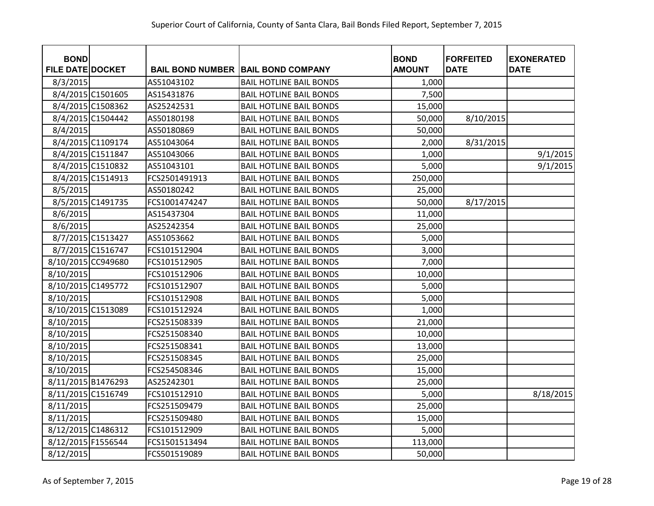| <b>BOND</b><br><b>FILE DATE DOCKET</b> |                   |               | <b>BAIL BOND NUMBER   BAIL BOND COMPANY</b> | <b>BOND</b><br><b>AMOUNT</b> | <b>FORFEITED</b><br><b>DATE</b> | <b>EXONERATED</b><br><b>DATE</b> |
|----------------------------------------|-------------------|---------------|---------------------------------------------|------------------------------|---------------------------------|----------------------------------|
| 8/3/2015                               |                   | AS51043102    | <b>BAIL HOTLINE BAIL BONDS</b>              | 1,000                        |                                 |                                  |
|                                        | 8/4/2015 C1501605 | AS15431876    | <b>BAIL HOTLINE BAIL BONDS</b>              | 7,500                        |                                 |                                  |
|                                        | 8/4/2015 C1508362 | AS25242531    | <b>BAIL HOTLINE BAIL BONDS</b>              | 15,000                       |                                 |                                  |
|                                        | 8/4/2015 C1504442 | AS50180198    | <b>BAIL HOTLINE BAIL BONDS</b>              | 50,000                       | 8/10/2015                       |                                  |
| 8/4/2015                               |                   | AS50180869    | <b>BAIL HOTLINE BAIL BONDS</b>              | 50,000                       |                                 |                                  |
|                                        | 8/4/2015 C1109174 | AS51043064    | <b>BAIL HOTLINE BAIL BONDS</b>              | 2,000                        | 8/31/2015                       |                                  |
|                                        | 8/4/2015 C1511847 | AS51043066    | <b>BAIL HOTLINE BAIL BONDS</b>              | 1,000                        |                                 | 9/1/2015                         |
|                                        | 8/4/2015 C1510832 | AS51043101    | <b>BAIL HOTLINE BAIL BONDS</b>              | 5,000                        |                                 | 9/1/2015                         |
|                                        | 8/4/2015 C1514913 | FCS2501491913 | <b>BAIL HOTLINE BAIL BONDS</b>              | 250,000                      |                                 |                                  |
| 8/5/2015                               |                   | AS50180242    | <b>BAIL HOTLINE BAIL BONDS</b>              | 25,000                       |                                 |                                  |
|                                        | 8/5/2015 C1491735 | FCS1001474247 | <b>BAIL HOTLINE BAIL BONDS</b>              | 50,000                       | 8/17/2015                       |                                  |
| 8/6/2015                               |                   | AS15437304    | <b>BAIL HOTLINE BAIL BONDS</b>              | 11,000                       |                                 |                                  |
| 8/6/2015                               |                   | AS25242354    | <b>BAIL HOTLINE BAIL BONDS</b>              | 25,000                       |                                 |                                  |
|                                        | 8/7/2015 C1513427 | AS51053662    | <b>BAIL HOTLINE BAIL BONDS</b>              | 5,000                        |                                 |                                  |
|                                        | 8/7/2015 C1516747 | FCS101512904  | <b>BAIL HOTLINE BAIL BONDS</b>              | 3,000                        |                                 |                                  |
| 8/10/2015 CC949680                     |                   | FCS101512905  | <b>BAIL HOTLINE BAIL BONDS</b>              | 7,000                        |                                 |                                  |
| 8/10/2015                              |                   | FCS101512906  | <b>BAIL HOTLINE BAIL BONDS</b>              | 10,000                       |                                 |                                  |
| 8/10/2015 C1495772                     |                   | FCS101512907  | <b>BAIL HOTLINE BAIL BONDS</b>              | 5,000                        |                                 |                                  |
| 8/10/2015                              |                   | FCS101512908  | <b>BAIL HOTLINE BAIL BONDS</b>              | 5,000                        |                                 |                                  |
| 8/10/2015 C1513089                     |                   | FCS101512924  | <b>BAIL HOTLINE BAIL BONDS</b>              | 1,000                        |                                 |                                  |
| 8/10/2015                              |                   | FCS251508339  | <b>BAIL HOTLINE BAIL BONDS</b>              | 21,000                       |                                 |                                  |
| 8/10/2015                              |                   | FCS251508340  | <b>BAIL HOTLINE BAIL BONDS</b>              | 10,000                       |                                 |                                  |
| 8/10/2015                              |                   | FCS251508341  | <b>BAIL HOTLINE BAIL BONDS</b>              | 13,000                       |                                 |                                  |
| 8/10/2015                              |                   | FCS251508345  | <b>BAIL HOTLINE BAIL BONDS</b>              | 25,000                       |                                 |                                  |
| 8/10/2015                              |                   | FCS254508346  | <b>BAIL HOTLINE BAIL BONDS</b>              | 15,000                       |                                 |                                  |
| 8/11/2015 B1476293                     |                   | AS25242301    | <b>BAIL HOTLINE BAIL BONDS</b>              | 25,000                       |                                 |                                  |
| 8/11/2015 C1516749                     |                   | FCS101512910  | <b>BAIL HOTLINE BAIL BONDS</b>              | 5,000                        |                                 | 8/18/2015                        |
| 8/11/2015                              |                   | FCS251509479  | <b>BAIL HOTLINE BAIL BONDS</b>              | 25,000                       |                                 |                                  |
| 8/11/2015                              |                   | FCS251509480  | <b>BAIL HOTLINE BAIL BONDS</b>              | 15,000                       |                                 |                                  |
| 8/12/2015 C1486312                     |                   | FCS101512909  | <b>BAIL HOTLINE BAIL BONDS</b>              | 5,000                        |                                 |                                  |
| 8/12/2015 F1556544                     |                   | FCS1501513494 | <b>BAIL HOTLINE BAIL BONDS</b>              | 113,000                      |                                 |                                  |
| 8/12/2015                              |                   | FCS501519089  | <b>BAIL HOTLINE BAIL BONDS</b>              | 50,000                       |                                 |                                  |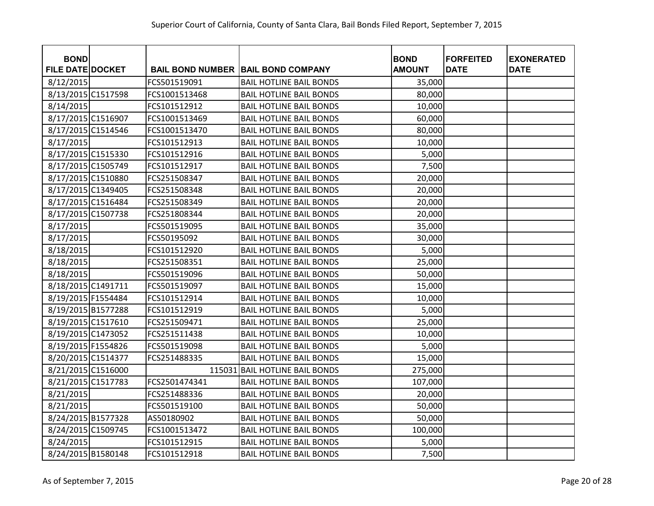| <b>BOND</b>             |               |                                           | <b>BOND</b>   | <b>FORFEITED</b> | <b>EXONERATED</b> |
|-------------------------|---------------|-------------------------------------------|---------------|------------------|-------------------|
| <b>FILE DATE DOCKET</b> |               | <b>BAIL BOND NUMBER BAIL BOND COMPANY</b> | <b>AMOUNT</b> | <b>DATE</b>      | <b>DATE</b>       |
| 8/12/2015               | FCS501519091  | <b>BAIL HOTLINE BAIL BONDS</b>            | 35,000        |                  |                   |
| 8/13/2015 C1517598      | FCS1001513468 | <b>BAIL HOTLINE BAIL BONDS</b>            | 80,000        |                  |                   |
| 8/14/2015               | FCS101512912  | <b>BAIL HOTLINE BAIL BONDS</b>            | 10,000        |                  |                   |
| 8/17/2015 C1516907      | FCS1001513469 | <b>BAIL HOTLINE BAIL BONDS</b>            | 60,000        |                  |                   |
| 8/17/2015 C1514546      | FCS1001513470 | <b>BAIL HOTLINE BAIL BONDS</b>            | 80,000        |                  |                   |
| 8/17/2015               | FCS101512913  | <b>BAIL HOTLINE BAIL BONDS</b>            | 10,000        |                  |                   |
| 8/17/2015 C1515330      | FCS101512916  | <b>BAIL HOTLINE BAIL BONDS</b>            | 5,000         |                  |                   |
| 8/17/2015 C1505749      | FCS101512917  | <b>BAIL HOTLINE BAIL BONDS</b>            | 7,500         |                  |                   |
| 8/17/2015 C1510880      | FCS251508347  | <b>BAIL HOTLINE BAIL BONDS</b>            | 20,000        |                  |                   |
| 8/17/2015 C1349405      | FCS251508348  | <b>BAIL HOTLINE BAIL BONDS</b>            | 20,000        |                  |                   |
| 8/17/2015 C1516484      | FCS251508349  | <b>BAIL HOTLINE BAIL BONDS</b>            | 20,000        |                  |                   |
| 8/17/2015 C1507738      | FCS251808344  | <b>BAIL HOTLINE BAIL BONDS</b>            | 20,000        |                  |                   |
| 8/17/2015               | FCS501519095  | <b>BAIL HOTLINE BAIL BONDS</b>            | 35,000        |                  |                   |
| 8/17/2015               | FCS50195092   | <b>BAIL HOTLINE BAIL BONDS</b>            | 30,000        |                  |                   |
| 8/18/2015               | FCS101512920  | <b>BAIL HOTLINE BAIL BONDS</b>            | 5,000         |                  |                   |
| 8/18/2015               | FCS251508351  | <b>BAIL HOTLINE BAIL BONDS</b>            | 25,000        |                  |                   |
| 8/18/2015               | FCS501519096  | <b>BAIL HOTLINE BAIL BONDS</b>            | 50,000        |                  |                   |
| 8/18/2015 C1491711      | FCS501519097  | <b>BAIL HOTLINE BAIL BONDS</b>            | 15,000        |                  |                   |
| 8/19/2015 F1554484      | FCS101512914  | <b>BAIL HOTLINE BAIL BONDS</b>            | 10,000        |                  |                   |
| 8/19/2015 B1577288      | FCS101512919  | <b>BAIL HOTLINE BAIL BONDS</b>            | 5,000         |                  |                   |
| 8/19/2015 C1517610      | FCS251509471  | <b>BAIL HOTLINE BAIL BONDS</b>            | 25,000        |                  |                   |
| 8/19/2015 C1473052      | FCS251511438  | <b>BAIL HOTLINE BAIL BONDS</b>            | 10,000        |                  |                   |
| 8/19/2015 F1554826      | FCS501519098  | <b>BAIL HOTLINE BAIL BONDS</b>            | 5,000         |                  |                   |
| 8/20/2015 C1514377      | FCS251488335  | <b>BAIL HOTLINE BAIL BONDS</b>            | 15,000        |                  |                   |
| 8/21/2015 C1516000      |               | 115031 BAIL HOTLINE BAIL BONDS            | 275,000       |                  |                   |
| 8/21/2015 C1517783      | FCS2501474341 | <b>BAIL HOTLINE BAIL BONDS</b>            | 107,000       |                  |                   |
| 8/21/2015               | FCS251488336  | <b>BAIL HOTLINE BAIL BONDS</b>            | 20,000        |                  |                   |
| 8/21/2015               | FCS501519100  | <b>BAIL HOTLINE BAIL BONDS</b>            | 50,000        |                  |                   |
| 8/24/2015 B1577328      | AS50180902    | <b>BAIL HOTLINE BAIL BONDS</b>            | 50,000        |                  |                   |
| 8/24/2015 C1509745      | FCS1001513472 | <b>BAIL HOTLINE BAIL BONDS</b>            | 100,000       |                  |                   |
| 8/24/2015               | FCS101512915  | <b>BAIL HOTLINE BAIL BONDS</b>            | 5,000         |                  |                   |
| 8/24/2015 B1580148      | FCS101512918  | <b>BAIL HOTLINE BAIL BONDS</b>            | 7,500         |                  |                   |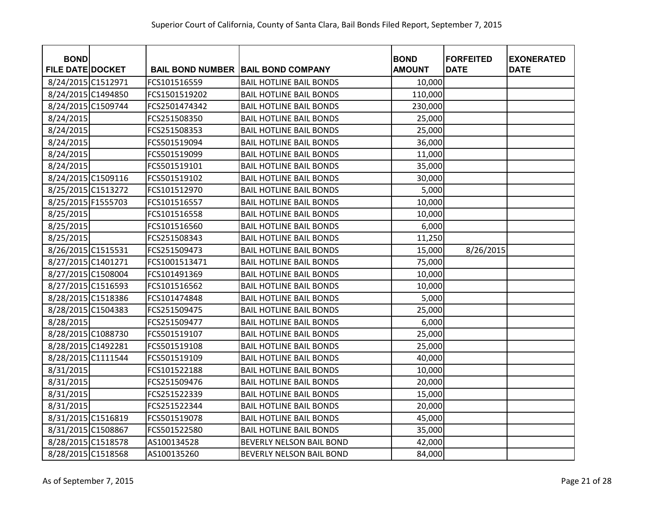| <b>BOND</b><br><b>FILE DATE DOCKET</b> |               |                                           | <b>BOND</b><br><b>AMOUNT</b> | <b>FORFEITED</b><br><b>DATE</b> | <b>EXONERATED</b><br><b>DATE</b> |
|----------------------------------------|---------------|-------------------------------------------|------------------------------|---------------------------------|----------------------------------|
|                                        |               | <b>BAIL BOND NUMBER BAIL BOND COMPANY</b> |                              |                                 |                                  |
| 8/24/2015 C1512971                     | FCS101516559  | <b>BAIL HOTLINE BAIL BONDS</b>            | 10,000                       |                                 |                                  |
| 8/24/2015 C1494850                     | FCS1501519202 | <b>BAIL HOTLINE BAIL BONDS</b>            | 110,000                      |                                 |                                  |
| 8/24/2015 C1509744                     | FCS2501474342 | <b>BAIL HOTLINE BAIL BONDS</b>            | 230,000                      |                                 |                                  |
| 8/24/2015                              | FCS251508350  | <b>BAIL HOTLINE BAIL BONDS</b>            | 25,000                       |                                 |                                  |
| 8/24/2015                              | FCS251508353  | <b>BAIL HOTLINE BAIL BONDS</b>            | 25,000                       |                                 |                                  |
| 8/24/2015                              | FCS501519094  | <b>BAIL HOTLINE BAIL BONDS</b>            | 36,000                       |                                 |                                  |
| 8/24/2015                              | FCS501519099  | <b>BAIL HOTLINE BAIL BONDS</b>            | 11,000                       |                                 |                                  |
| 8/24/2015                              | FCS501519101  | <b>BAIL HOTLINE BAIL BONDS</b>            | 35,000                       |                                 |                                  |
| 8/24/2015 C1509116                     | FCS501519102  | <b>BAIL HOTLINE BAIL BONDS</b>            | 30,000                       |                                 |                                  |
| 8/25/2015 C1513272                     | FCS101512970  | <b>BAIL HOTLINE BAIL BONDS</b>            | 5,000                        |                                 |                                  |
| 8/25/2015 F1555703                     | FCS101516557  | <b>BAIL HOTLINE BAIL BONDS</b>            | 10,000                       |                                 |                                  |
| 8/25/2015                              | FCS101516558  | <b>BAIL HOTLINE BAIL BONDS</b>            | 10,000                       |                                 |                                  |
| 8/25/2015                              | FCS101516560  | <b>BAIL HOTLINE BAIL BONDS</b>            | 6,000                        |                                 |                                  |
| 8/25/2015                              | FCS251508343  | <b>BAIL HOTLINE BAIL BONDS</b>            | 11,250                       |                                 |                                  |
| 8/26/2015 C1515531                     | FCS251509473  | <b>BAIL HOTLINE BAIL BONDS</b>            | 15,000                       | 8/26/2015                       |                                  |
| 8/27/2015 C1401271                     | FCS1001513471 | <b>BAIL HOTLINE BAIL BONDS</b>            | 75,000                       |                                 |                                  |
| 8/27/2015 C1508004                     | FCS101491369  | <b>BAIL HOTLINE BAIL BONDS</b>            | 10,000                       |                                 |                                  |
| 8/27/2015 C1516593                     | FCS101516562  | <b>BAIL HOTLINE BAIL BONDS</b>            | 10,000                       |                                 |                                  |
| 8/28/2015 C1518386                     | FCS101474848  | <b>BAIL HOTLINE BAIL BONDS</b>            | 5,000                        |                                 |                                  |
| 8/28/2015 C1504383                     | FCS251509475  | <b>BAIL HOTLINE BAIL BONDS</b>            | 25,000                       |                                 |                                  |
| 8/28/2015                              | FCS251509477  | <b>BAIL HOTLINE BAIL BONDS</b>            | 6,000                        |                                 |                                  |
| 8/28/2015 C1088730                     | FCS501519107  | <b>BAIL HOTLINE BAIL BONDS</b>            | 25,000                       |                                 |                                  |
| 8/28/2015 C1492281                     | FCS501519108  | <b>BAIL HOTLINE BAIL BONDS</b>            | 25,000                       |                                 |                                  |
| 8/28/2015 C1111544                     | FCS501519109  | <b>BAIL HOTLINE BAIL BONDS</b>            | 40,000                       |                                 |                                  |
| 8/31/2015                              | FCS101522188  | <b>BAIL HOTLINE BAIL BONDS</b>            | 10,000                       |                                 |                                  |
| 8/31/2015                              | FCS251509476  | <b>BAIL HOTLINE BAIL BONDS</b>            | 20,000                       |                                 |                                  |
| 8/31/2015                              | FCS251522339  | <b>BAIL HOTLINE BAIL BONDS</b>            | 15,000                       |                                 |                                  |
| 8/31/2015                              | FCS251522344  | <b>BAIL HOTLINE BAIL BONDS</b>            | 20,000                       |                                 |                                  |
| 8/31/2015 C1516819                     | FCS501519078  | <b>BAIL HOTLINE BAIL BONDS</b>            | 45,000                       |                                 |                                  |
| 8/31/2015 C1508867                     | FCS501522580  | <b>BAIL HOTLINE BAIL BONDS</b>            | 35,000                       |                                 |                                  |
| 8/28/2015 C1518578                     | AS100134528   | <b>BEVERLY NELSON BAIL BOND</b>           | 42,000                       |                                 |                                  |
| 8/28/2015 C1518568                     | AS100135260   | <b>BEVERLY NELSON BAIL BOND</b>           | 84,000                       |                                 |                                  |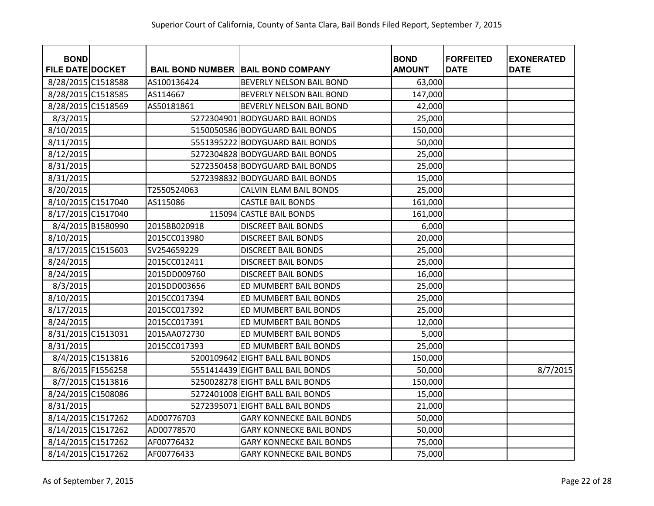| <b>BOND</b><br><b>FILE DATE DOCKET</b> |                   |              | <b>BAIL BOND NUMBER   BAIL BOND COMPANY</b> | <b>BOND</b><br><b>AMOUNT</b> | <b>FORFEITED</b><br><b>DATE</b> | <b>EXONERATED</b><br><b>DATE</b> |
|----------------------------------------|-------------------|--------------|---------------------------------------------|------------------------------|---------------------------------|----------------------------------|
| 8/28/2015 C1518588                     |                   | AS100136424  | BEVERLY NELSON BAIL BOND                    | 63,000                       |                                 |                                  |
| 8/28/2015 C1518585                     |                   | AS114667     | BEVERLY NELSON BAIL BOND                    | 147,000                      |                                 |                                  |
| 8/28/2015 C1518569                     |                   | AS50181861   | BEVERLY NELSON BAIL BOND                    | 42,000                       |                                 |                                  |
| 8/3/2015                               |                   |              | 5272304901 BODYGUARD BAIL BONDS             | 25,000                       |                                 |                                  |
| 8/10/2015                              |                   |              | 5150050586 BODYGUARD BAIL BONDS             | 150,000                      |                                 |                                  |
| 8/11/2015                              |                   |              | 5551395222 BODYGUARD BAIL BONDS             | 50,000                       |                                 |                                  |
| 8/12/2015                              |                   |              | 5272304828 BODYGUARD BAIL BONDS             | 25,000                       |                                 |                                  |
| 8/31/2015                              |                   |              | 5272350458 BODYGUARD BAIL BONDS             | 25,000                       |                                 |                                  |
| 8/31/2015                              |                   |              | 5272398832 BODYGUARD BAIL BONDS             | 15,000                       |                                 |                                  |
| 8/20/2015                              |                   | T2550524063  | <b>CALVIN ELAM BAIL BONDS</b>               | 25,000                       |                                 |                                  |
| 8/10/2015 C1517040                     |                   | AS115086     | <b>CASTLE BAIL BONDS</b>                    | 161,000                      |                                 |                                  |
| 8/17/2015 C1517040                     |                   |              | 115094 CASTLE BAIL BONDS                    | 161,000                      |                                 |                                  |
|                                        | 8/4/2015 B1580990 | 2015BB020918 | <b>DISCREET BAIL BONDS</b>                  | 6,000                        |                                 |                                  |
| 8/10/2015                              |                   | 2015CC013980 | <b>DISCREET BAIL BONDS</b>                  | 20,000                       |                                 |                                  |
| 8/17/2015 C1515603                     |                   | SV254659229  | <b>DISCREET BAIL BONDS</b>                  | 25,000                       |                                 |                                  |
| 8/24/2015                              |                   | 2015CC012411 | <b>DISCREET BAIL BONDS</b>                  | 25,000                       |                                 |                                  |
| 8/24/2015                              |                   | 2015DD009760 | <b>DISCREET BAIL BONDS</b>                  | 16,000                       |                                 |                                  |
| 8/3/2015                               |                   | 2015DD003656 | ED MUMBERT BAIL BONDS                       | 25,000                       |                                 |                                  |
| 8/10/2015                              |                   | 2015CC017394 | ED MUMBERT BAIL BONDS                       | 25,000                       |                                 |                                  |
| 8/17/2015                              |                   | 2015CC017392 | ED MUMBERT BAIL BONDS                       | 25,000                       |                                 |                                  |
| 8/24/2015                              |                   | 2015CC017391 | ED MUMBERT BAIL BONDS                       | 12,000                       |                                 |                                  |
| 8/31/2015 C1513031                     |                   | 2015AA072730 | ED MUMBERT BAIL BONDS                       | 5,000                        |                                 |                                  |
| 8/31/2015                              |                   | 2015CC017393 | ED MUMBERT BAIL BONDS                       | 25,000                       |                                 |                                  |
|                                        | 8/4/2015 C1513816 |              | 5200109642 EIGHT BALL BAIL BONDS            | 150,000                      |                                 |                                  |
|                                        | 8/6/2015 F1556258 |              | 5551414439 EIGHT BALL BAIL BONDS            | 50,000                       |                                 | 8/7/2015                         |
|                                        | 8/7/2015 C1513816 |              | 5250028278 EIGHT BALL BAIL BONDS            | 150,000                      |                                 |                                  |
| 8/24/2015 C1508086                     |                   |              | 5272401008 EIGHT BALL BAIL BONDS            | 15,000                       |                                 |                                  |
| 8/31/2015                              |                   |              | 5272395071 EIGHT BALL BAIL BONDS            | 21,000                       |                                 |                                  |
| 8/14/2015 C1517262                     |                   | AD00776703   | <b>GARY KONNECKE BAIL BONDS</b>             | 50,000                       |                                 |                                  |
| 8/14/2015 C1517262                     |                   | AD00778570   | <b>GARY KONNECKE BAIL BONDS</b>             | 50,000                       |                                 |                                  |
| 8/14/2015 C1517262                     |                   | AF00776432   | <b>GARY KONNECKE BAIL BONDS</b>             | 75,000                       |                                 |                                  |
| 8/14/2015 C1517262                     |                   | AF00776433   | <b>GARY KONNECKE BAIL BONDS</b>             | 75,000                       |                                 |                                  |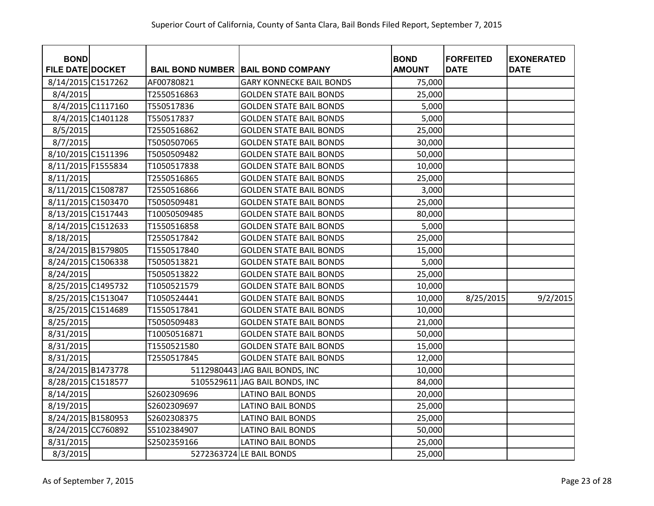| <b>BOND</b><br><b>FILE DATE DOCKET</b> |                   |              | <b>BAIL BOND NUMBER BAIL BOND COMPANY</b> | <b>BOND</b><br><b>AMOUNT</b> | <b>FORFEITED</b><br><b>DATE</b> | <b>EXONERATED</b><br><b>DATE</b> |
|----------------------------------------|-------------------|--------------|-------------------------------------------|------------------------------|---------------------------------|----------------------------------|
| 8/14/2015 C1517262                     |                   | AF00780821   | <b>GARY KONNECKE BAIL BONDS</b>           | 75,000                       |                                 |                                  |
| 8/4/2015                               |                   | T2550516863  | <b>GOLDEN STATE BAIL BONDS</b>            | 25,000                       |                                 |                                  |
|                                        | 8/4/2015 C1117160 | T550517836   | <b>GOLDEN STATE BAIL BONDS</b>            | 5,000                        |                                 |                                  |
|                                        | 8/4/2015 C1401128 | T550517837   | <b>GOLDEN STATE BAIL BONDS</b>            | 5,000                        |                                 |                                  |
| 8/5/2015                               |                   | T2550516862  | <b>GOLDEN STATE BAIL BONDS</b>            | 25,000                       |                                 |                                  |
| 8/7/2015                               |                   | T5050507065  | <b>GOLDEN STATE BAIL BONDS</b>            | 30,000                       |                                 |                                  |
| 8/10/2015 C1511396                     |                   | T5050509482  | <b>GOLDEN STATE BAIL BONDS</b>            | 50,000                       |                                 |                                  |
| 8/11/2015 F1555834                     |                   | T1050517838  | <b>GOLDEN STATE BAIL BONDS</b>            | 10,000                       |                                 |                                  |
| 8/11/2015                              |                   | T2550516865  | <b>GOLDEN STATE BAIL BONDS</b>            | 25,000                       |                                 |                                  |
| 8/11/2015 C1508787                     |                   | T2550516866  | <b>GOLDEN STATE BAIL BONDS</b>            | 3,000                        |                                 |                                  |
| 8/11/2015 C1503470                     |                   | T5050509481  | <b>GOLDEN STATE BAIL BONDS</b>            | 25,000                       |                                 |                                  |
| 8/13/2015 C1517443                     |                   | T10050509485 | <b>GOLDEN STATE BAIL BONDS</b>            | 80,000                       |                                 |                                  |
| 8/14/2015 C1512633                     |                   | T1550516858  | <b>GOLDEN STATE BAIL BONDS</b>            | 5,000                        |                                 |                                  |
| 8/18/2015                              |                   | T2550517842  | <b>GOLDEN STATE BAIL BONDS</b>            | 25,000                       |                                 |                                  |
| 8/24/2015 B1579805                     |                   | T1550517840  | <b>GOLDEN STATE BAIL BONDS</b>            | 15,000                       |                                 |                                  |
| 8/24/2015 C1506338                     |                   | T5050513821  | <b>GOLDEN STATE BAIL BONDS</b>            | 5,000                        |                                 |                                  |
| 8/24/2015                              |                   | T5050513822  | <b>GOLDEN STATE BAIL BONDS</b>            | 25,000                       |                                 |                                  |
| 8/25/2015 C1495732                     |                   | T1050521579  | <b>GOLDEN STATE BAIL BONDS</b>            | 10,000                       |                                 |                                  |
| 8/25/2015 C1513047                     |                   | T1050524441  | <b>GOLDEN STATE BAIL BONDS</b>            | 10,000                       | 8/25/2015                       | 9/2/2015                         |
| 8/25/2015 C1514689                     |                   | T1550517841  | <b>GOLDEN STATE BAIL BONDS</b>            | 10,000                       |                                 |                                  |
| 8/25/2015                              |                   | T5050509483  | <b>GOLDEN STATE BAIL BONDS</b>            | 21,000                       |                                 |                                  |
| 8/31/2015                              |                   | T10050516871 | <b>GOLDEN STATE BAIL BONDS</b>            | 50,000                       |                                 |                                  |
| 8/31/2015                              |                   | T1550521580  | <b>GOLDEN STATE BAIL BONDS</b>            | 15,000                       |                                 |                                  |
| 8/31/2015                              |                   | T2550517845  | <b>GOLDEN STATE BAIL BONDS</b>            | 12,000                       |                                 |                                  |
| 8/24/2015 B1473778                     |                   |              | 5112980443 JAG BAIL BONDS, INC            | 10,000                       |                                 |                                  |
| 8/28/2015 C1518577                     |                   |              | 5105529611 JAG BAIL BONDS, INC            | 84,000                       |                                 |                                  |
| 8/14/2015                              |                   | S2602309696  | <b>LATINO BAIL BONDS</b>                  | 20,000                       |                                 |                                  |
| 8/19/2015                              |                   | S2602309697  | <b>LATINO BAIL BONDS</b>                  | 25,000                       |                                 |                                  |
| 8/24/2015 B1580953                     |                   | S2602308375  | <b>LATINO BAIL BONDS</b>                  | 25,000                       |                                 |                                  |
| 8/24/2015 CC760892                     |                   | S5102384907  | <b>LATINO BAIL BONDS</b>                  | 50,000                       |                                 |                                  |
| 8/31/2015                              |                   | S2502359166  | <b>LATINO BAIL BONDS</b>                  | 25,000                       |                                 |                                  |
| 8/3/2015                               |                   |              | 5272363724 LE BAIL BONDS                  | 25,000                       |                                 |                                  |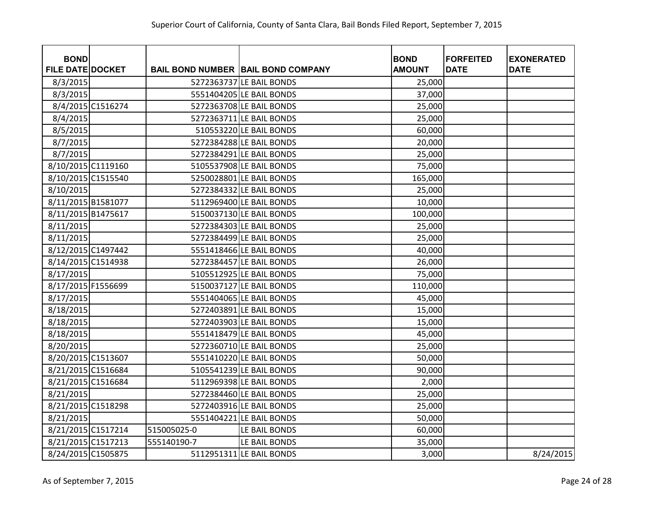| <b>BOND</b>             |                   |             |                                             | <b>BOND</b>   | <b>FORFEITED</b> | <b>EXONERATED</b> |
|-------------------------|-------------------|-------------|---------------------------------------------|---------------|------------------|-------------------|
| <b>FILE DATE DOCKET</b> |                   |             | <b>BAIL BOND NUMBER   BAIL BOND COMPANY</b> | <b>AMOUNT</b> | <b>DATE</b>      | <b>DATE</b>       |
| 8/3/2015                |                   |             | 5272363737 LE BAIL BONDS                    | 25,000        |                  |                   |
| 8/3/2015                |                   |             | 5551404205 LE BAIL BONDS                    | 37,000        |                  |                   |
|                         | 8/4/2015 C1516274 |             | 5272363708 LE BAIL BONDS                    | 25,000        |                  |                   |
| 8/4/2015                |                   |             | 5272363711 LE BAIL BONDS                    | 25,000        |                  |                   |
| 8/5/2015                |                   |             | 510553220 LE BAIL BONDS                     | 60,000        |                  |                   |
| 8/7/2015                |                   |             | 5272384288 LE BAIL BONDS                    | 20,000        |                  |                   |
| 8/7/2015                |                   |             | 5272384291 LE BAIL BONDS                    | 25,000        |                  |                   |
| 8/10/2015 C1119160      |                   |             | 5105537908 LE BAIL BONDS                    | 75,000        |                  |                   |
| 8/10/2015 C1515540      |                   |             | 5250028801 LE BAIL BONDS                    | 165,000       |                  |                   |
| 8/10/2015               |                   |             | 5272384332 LE BAIL BONDS                    | 25,000        |                  |                   |
| 8/11/2015 B1581077      |                   |             | 5112969400 LE BAIL BONDS                    | 10,000        |                  |                   |
| 8/11/2015 B1475617      |                   |             | 5150037130 LE BAIL BONDS                    | 100,000       |                  |                   |
| 8/11/2015               |                   |             | 5272384303 LE BAIL BONDS                    | 25,000        |                  |                   |
| 8/11/2015               |                   |             | 5272384499 LE BAIL BONDS                    | 25,000        |                  |                   |
| 8/12/2015 C1497442      |                   |             | 5551418466 LE BAIL BONDS                    | 40,000        |                  |                   |
| 8/14/2015 C1514938      |                   |             | 5272384457 LE BAIL BONDS                    | 26,000        |                  |                   |
| 8/17/2015               |                   |             | 5105512925 LE BAIL BONDS                    | 75,000        |                  |                   |
| 8/17/2015 F1556699      |                   |             | 5150037127 LE BAIL BONDS                    | 110,000       |                  |                   |
| 8/17/2015               |                   |             | 5551404065 LE BAIL BONDS                    | 45,000        |                  |                   |
| 8/18/2015               |                   |             | 5272403891 LE BAIL BONDS                    | 15,000        |                  |                   |
| 8/18/2015               |                   |             | 5272403903 LE BAIL BONDS                    | 15,000        |                  |                   |
| 8/18/2015               |                   |             | 5551418479 LE BAIL BONDS                    | 45,000        |                  |                   |
| 8/20/2015               |                   |             | 5272360710 LE BAIL BONDS                    | 25,000        |                  |                   |
| 8/20/2015 C1513607      |                   |             | 5551410220 LE BAIL BONDS                    | 50,000        |                  |                   |
| 8/21/2015 C1516684      |                   |             | 5105541239 LE BAIL BONDS                    | 90,000        |                  |                   |
| 8/21/2015 C1516684      |                   |             | 5112969398 LE BAIL BONDS                    | 2,000         |                  |                   |
| 8/21/2015               |                   |             | 5272384460 LE BAIL BONDS                    | 25,000        |                  |                   |
| 8/21/2015 C1518298      |                   |             | 5272403916 LE BAIL BONDS                    | 25,000        |                  |                   |
| 8/21/2015               |                   |             | 5551404221 LE BAIL BONDS                    | 50,000        |                  |                   |
| 8/21/2015 C1517214      |                   | 515005025-0 | LE BAIL BONDS                               | 60,000        |                  |                   |
| 8/21/2015 C1517213      |                   | 555140190-7 | LE BAIL BONDS                               | 35,000        |                  |                   |
| 8/24/2015 C1505875      |                   |             | 5112951311 LE BAIL BONDS                    | 3,000         |                  | 8/24/2015         |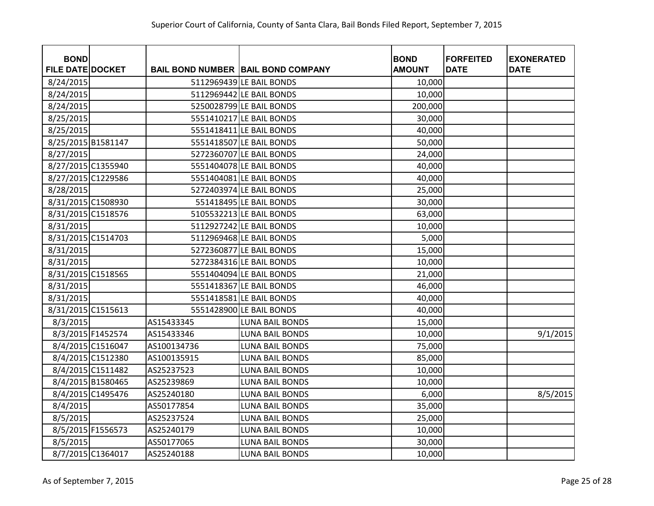| <b>BOND</b>             |                   |             |                                             | <b>BOND</b>   | <b>FORFEITED</b> | <b>EXONERATED</b> |
|-------------------------|-------------------|-------------|---------------------------------------------|---------------|------------------|-------------------|
| <b>FILE DATE DOCKET</b> |                   |             | <b>BAIL BOND NUMBER   BAIL BOND COMPANY</b> | <b>AMOUNT</b> | <b>DATE</b>      | <b>DATE</b>       |
| 8/24/2015               |                   |             | 5112969439 LE BAIL BONDS                    | 10,000        |                  |                   |
| 8/24/2015               |                   |             | 5112969442 LE BAIL BONDS                    | 10,000        |                  |                   |
| 8/24/2015               |                   |             | 5250028799 LE BAIL BONDS                    | 200,000       |                  |                   |
| 8/25/2015               |                   |             | 5551410217 LE BAIL BONDS                    | 30,000        |                  |                   |
| 8/25/2015               |                   |             | 5551418411 LE BAIL BONDS                    | 40,000        |                  |                   |
| 8/25/2015 B1581147      |                   |             | 5551418507 LE BAIL BONDS                    | 50,000        |                  |                   |
| 8/27/2015               |                   |             | 5272360707 LE BAIL BONDS                    | 24,000        |                  |                   |
| 8/27/2015 C1355940      |                   |             | 5551404078 LE BAIL BONDS                    | 40,000        |                  |                   |
| 8/27/2015 C1229586      |                   |             | 5551404081 LE BAIL BONDS                    | 40,000        |                  |                   |
| 8/28/2015               |                   |             | 5272403974 LE BAIL BONDS                    | 25,000        |                  |                   |
| 8/31/2015 C1508930      |                   |             | 551418495 LE BAIL BONDS                     | 30,000        |                  |                   |
| 8/31/2015 C1518576      |                   |             | 5105532213 LE BAIL BONDS                    | 63,000        |                  |                   |
| 8/31/2015               |                   |             | 5112927242 LE BAIL BONDS                    | 10,000        |                  |                   |
| 8/31/2015 C1514703      |                   |             | 5112969468 LE BAIL BONDS                    | 5,000         |                  |                   |
| 8/31/2015               |                   |             | 5272360877 LE BAIL BONDS                    | 15,000        |                  |                   |
| 8/31/2015               |                   |             | 5272384316 LE BAIL BONDS                    | 10,000        |                  |                   |
| 8/31/2015 C1518565      |                   |             | 5551404094 LE BAIL BONDS                    | 21,000        |                  |                   |
| 8/31/2015               |                   |             | 5551418367 LE BAIL BONDS                    | 46,000        |                  |                   |
| 8/31/2015               |                   |             | 5551418581 LE BAIL BONDS                    | 40,000        |                  |                   |
| 8/31/2015 C1515613      |                   |             | 5551428900 LE BAIL BONDS                    | 40,000        |                  |                   |
| 8/3/2015                |                   | AS15433345  | <b>LUNA BAIL BONDS</b>                      | 15,000        |                  |                   |
|                         | 8/3/2015 F1452574 | AS15433346  | <b>LUNA BAIL BONDS</b>                      | 10,000        |                  | 9/1/2015          |
|                         | 8/4/2015 C1516047 | AS100134736 | LUNA BAIL BONDS                             | 75,000        |                  |                   |
|                         | 8/4/2015 C1512380 | AS100135915 | <b>LUNA BAIL BONDS</b>                      | 85,000        |                  |                   |
|                         | 8/4/2015 C1511482 | AS25237523  | <b>LUNA BAIL BONDS</b>                      | 10,000        |                  |                   |
|                         | 8/4/2015 B1580465 | AS25239869  | <b>LUNA BAIL BONDS</b>                      | 10,000        |                  |                   |
|                         | 8/4/2015 C1495476 | AS25240180  | <b>LUNA BAIL BONDS</b>                      | 6,000         |                  | 8/5/2015          |
| 8/4/2015                |                   | AS50177854  | <b>LUNA BAIL BONDS</b>                      | 35,000        |                  |                   |
| 8/5/2015                |                   | AS25237524  | <b>LUNA BAIL BONDS</b>                      | 25,000        |                  |                   |
|                         | 8/5/2015 F1556573 | AS25240179  | <b>LUNA BAIL BONDS</b>                      | 10,000        |                  |                   |
| 8/5/2015                |                   | AS50177065  | <b>LUNA BAIL BONDS</b>                      | 30,000        |                  |                   |
|                         | 8/7/2015 C1364017 | AS25240188  | <b>LUNA BAIL BONDS</b>                      | 10,000        |                  |                   |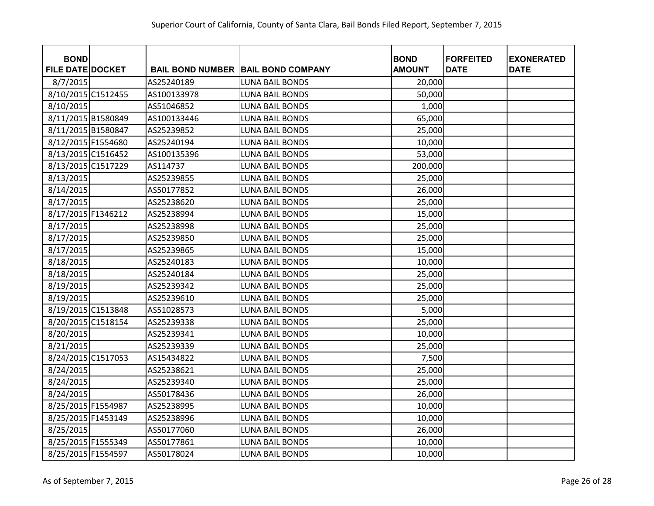| <b>BOND</b>             |             |                                             | <b>BOND</b>   | <b>FORFEITED</b> | <b>EXONERATED</b> |
|-------------------------|-------------|---------------------------------------------|---------------|------------------|-------------------|
| <b>FILE DATE DOCKET</b> |             | <b>BAIL BOND NUMBER   BAIL BOND COMPANY</b> | <b>AMOUNT</b> | <b>DATE</b>      | <b>DATE</b>       |
| 8/7/2015                | AS25240189  | <b>LUNA BAIL BONDS</b>                      | 20,000        |                  |                   |
| 8/10/2015 C1512455      | AS100133978 | <b>LUNA BAIL BONDS</b>                      | 50,000        |                  |                   |
| 8/10/2015               | AS51046852  | <b>LUNA BAIL BONDS</b>                      | 1,000         |                  |                   |
| 8/11/2015 B1580849      | AS100133446 | <b>LUNA BAIL BONDS</b>                      | 65,000        |                  |                   |
| 8/11/2015 B1580847      | AS25239852  | <b>LUNA BAIL BONDS</b>                      | 25,000        |                  |                   |
| 8/12/2015 F1554680      | AS25240194  | <b>LUNA BAIL BONDS</b>                      | 10,000        |                  |                   |
| 8/13/2015 C1516452      | AS100135396 | <b>LUNA BAIL BONDS</b>                      | 53,000        |                  |                   |
| 8/13/2015 C1517229      | AS114737    | <b>LUNA BAIL BONDS</b>                      | 200,000       |                  |                   |
| 8/13/2015               | AS25239855  | <b>LUNA BAIL BONDS</b>                      | 25,000        |                  |                   |
| 8/14/2015               | AS50177852  | <b>LUNA BAIL BONDS</b>                      | 26,000        |                  |                   |
| 8/17/2015               | AS25238620  | <b>LUNA BAIL BONDS</b>                      | 25,000        |                  |                   |
| 8/17/2015 F1346212      | AS25238994  | <b>LUNA BAIL BONDS</b>                      | 15,000        |                  |                   |
| 8/17/2015               | AS25238998  | <b>LUNA BAIL BONDS</b>                      | 25,000        |                  |                   |
| 8/17/2015               | AS25239850  | <b>LUNA BAIL BONDS</b>                      | 25,000        |                  |                   |
| 8/17/2015               | AS25239865  | <b>LUNA BAIL BONDS</b>                      | 15,000        |                  |                   |
| 8/18/2015               | AS25240183  | LUNA BAIL BONDS                             | 10,000        |                  |                   |
| 8/18/2015               | AS25240184  | <b>LUNA BAIL BONDS</b>                      | 25,000        |                  |                   |
| 8/19/2015               | AS25239342  | <b>LUNA BAIL BONDS</b>                      | 25,000        |                  |                   |
| 8/19/2015               | AS25239610  | <b>LUNA BAIL BONDS</b>                      | 25,000        |                  |                   |
| 8/19/2015 C1513848      | AS51028573  | <b>LUNA BAIL BONDS</b>                      | 5,000         |                  |                   |
| 8/20/2015 C1518154      | AS25239338  | <b>LUNA BAIL BONDS</b>                      | 25,000        |                  |                   |
| 8/20/2015               | AS25239341  | <b>LUNA BAIL BONDS</b>                      | 10,000        |                  |                   |
| 8/21/2015               | AS25239339  | LUNA BAIL BONDS                             | 25,000        |                  |                   |
| 8/24/2015 C1517053      | AS15434822  | <b>LUNA BAIL BONDS</b>                      | 7,500         |                  |                   |
| 8/24/2015               | AS25238621  | <b>LUNA BAIL BONDS</b>                      | 25,000        |                  |                   |
| 8/24/2015               | AS25239340  | <b>LUNA BAIL BONDS</b>                      | 25,000        |                  |                   |
| 8/24/2015               | AS50178436  | <b>LUNA BAIL BONDS</b>                      | 26,000        |                  |                   |
| 8/25/2015 F1554987      | AS25238995  | <b>LUNA BAIL BONDS</b>                      | 10,000        |                  |                   |
| 8/25/2015 F1453149      | AS25238996  | <b>LUNA BAIL BONDS</b>                      | 10,000        |                  |                   |
| 8/25/2015               | AS50177060  | <b>LUNA BAIL BONDS</b>                      | 26,000        |                  |                   |
| 8/25/2015 F1555349      | AS50177861  | <b>LUNA BAIL BONDS</b>                      | 10,000        |                  |                   |
| 8/25/2015 F1554597      | AS50178024  | <b>LUNA BAIL BONDS</b>                      | 10,000        |                  |                   |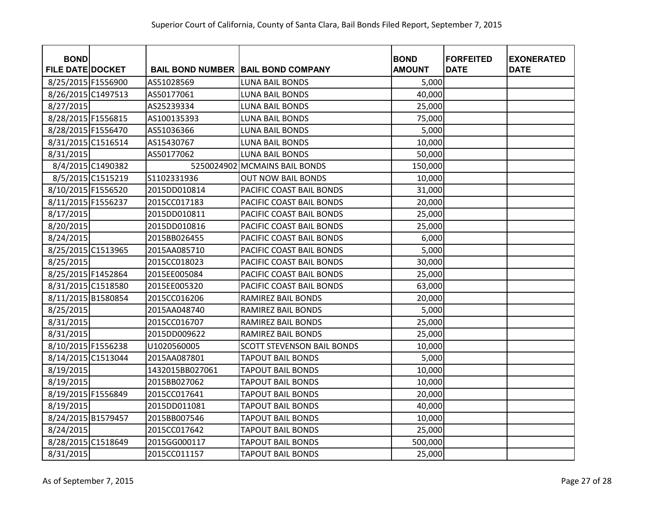| <b>BOND</b>             |                   |                 |                                           | <b>BOND</b>   | <b>FORFEITED</b> | <b>EXONERATED</b> |
|-------------------------|-------------------|-----------------|-------------------------------------------|---------------|------------------|-------------------|
| <b>FILE DATE DOCKET</b> |                   |                 | <b>BAIL BOND NUMBER BAIL BOND COMPANY</b> | <b>AMOUNT</b> | <b>DATE</b>      | <b>DATE</b>       |
| 8/25/2015 F1556900      |                   | AS51028569      | <b>LUNA BAIL BONDS</b>                    | 5,000         |                  |                   |
| 8/26/2015 C1497513      |                   | AS50177061      | <b>LUNA BAIL BONDS</b>                    | 40,000        |                  |                   |
| 8/27/2015               |                   | AS25239334      | LUNA BAIL BONDS                           | 25,000        |                  |                   |
| 8/28/2015 F1556815      |                   | AS100135393     | <b>LUNA BAIL BONDS</b>                    | 75,000        |                  |                   |
| 8/28/2015 F1556470      |                   | AS51036366      | <b>LUNA BAIL BONDS</b>                    | 5,000         |                  |                   |
| 8/31/2015 C1516514      |                   | AS15430767      | <b>LUNA BAIL BONDS</b>                    | 10,000        |                  |                   |
| 8/31/2015               |                   | AS50177062      | <b>LUNA BAIL BONDS</b>                    | 50,000        |                  |                   |
|                         | 8/4/2015 C1490382 |                 | 5250024902 MCMAINS BAIL BONDS             | 150,000       |                  |                   |
|                         | 8/5/2015 C1515219 | S1102331936     | <b>OUT NOW BAIL BONDS</b>                 | 10,000        |                  |                   |
| 8/10/2015 F1556520      |                   | 2015DD010814    | PACIFIC COAST BAIL BONDS                  | 31,000        |                  |                   |
| 8/11/2015 F1556237      |                   | 2015CC017183    | PACIFIC COAST BAIL BONDS                  | 20,000        |                  |                   |
| 8/17/2015               |                   | 2015DD010811    | PACIFIC COAST BAIL BONDS                  | 25,000        |                  |                   |
| 8/20/2015               |                   | 2015DD010816    | PACIFIC COAST BAIL BONDS                  | 25,000        |                  |                   |
| 8/24/2015               |                   | 2015BB026455    | PACIFIC COAST BAIL BONDS                  | 6,000         |                  |                   |
| 8/25/2015 C1513965      |                   | 2015AA085710    | PACIFIC COAST BAIL BONDS                  | 5,000         |                  |                   |
| 8/25/2015               |                   | 2015CC018023    | PACIFIC COAST BAIL BONDS                  | 30,000        |                  |                   |
| 8/25/2015 F1452864      |                   | 2015EE005084    | PACIFIC COAST BAIL BONDS                  | 25,000        |                  |                   |
| 8/31/2015 C1518580      |                   | 2015EE005320    | PACIFIC COAST BAIL BONDS                  | 63,000        |                  |                   |
| 8/11/2015 B1580854      |                   | 2015CC016206    | RAMIREZ BAIL BONDS                        | 20,000        |                  |                   |
| 8/25/2015               |                   | 2015AA048740    | RAMIREZ BAIL BONDS                        | 5,000         |                  |                   |
| 8/31/2015               |                   | 2015CC016707    | RAMIREZ BAIL BONDS                        | 25,000        |                  |                   |
| 8/31/2015               |                   | 2015DD009622    | RAMIREZ BAIL BONDS                        | 25,000        |                  |                   |
| 8/10/2015 F1556238      |                   | U1020560005     | <b>SCOTT STEVENSON BAIL BONDS</b>         | 10,000        |                  |                   |
| 8/14/2015 C1513044      |                   | 2015AA087801    | <b>TAPOUT BAIL BONDS</b>                  | 5,000         |                  |                   |
| 8/19/2015               |                   | 1432015BB027061 | <b>TAPOUT BAIL BONDS</b>                  | 10,000        |                  |                   |
| 8/19/2015               |                   | 2015BB027062    | <b>TAPOUT BAIL BONDS</b>                  | 10,000        |                  |                   |
| 8/19/2015 F1556849      |                   | 2015CC017641    | <b>TAPOUT BAIL BONDS</b>                  | 20,000        |                  |                   |
| 8/19/2015               |                   | 2015DD011081    | <b>TAPOUT BAIL BONDS</b>                  | 40,000        |                  |                   |
| 8/24/2015 B1579457      |                   | 2015BB007546    | <b>TAPOUT BAIL BONDS</b>                  | 10,000        |                  |                   |
| 8/24/2015               |                   | 2015CC017642    | <b>TAPOUT BAIL BONDS</b>                  | 25,000        |                  |                   |
| 8/28/2015 C1518649      |                   | 2015GG000117    | <b>TAPOUT BAIL BONDS</b>                  | 500,000       |                  |                   |
| 8/31/2015               |                   | 2015CC011157    | <b>TAPOUT BAIL BONDS</b>                  | 25,000        |                  |                   |